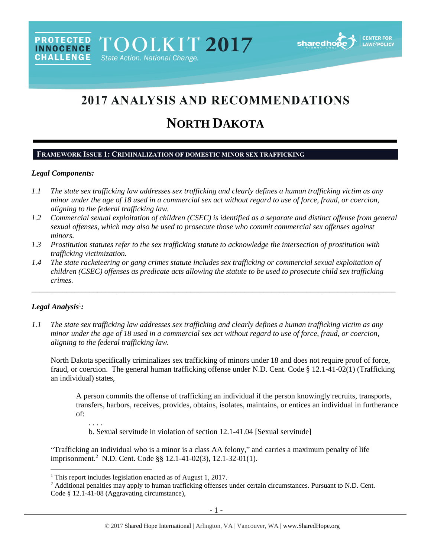# **2017 ANALYSIS AND RECOMMENDATIONS**

# **NORTH DAKOTA**

### **FRAMEWORK ISSUE 1: CRIMINALIZATION OF DOMESTIC MINOR SEX TRAFFICKING**

# *Legal Components:*

- *1.1 The state sex trafficking law addresses sex trafficking and clearly defines a human trafficking victim as any minor under the age of 18 used in a commercial sex act without regard to use of force, fraud, or coercion, aligning to the federal trafficking law.*
- *1.2 Commercial sexual exploitation of children (CSEC) is identified as a separate and distinct offense from general sexual offenses, which may also be used to prosecute those who commit commercial sex offenses against minors.*
- *1.3 Prostitution statutes refer to the sex trafficking statute to acknowledge the intersection of prostitution with trafficking victimization.*
- *1.4 The state racketeering or gang crimes statute includes sex trafficking or commercial sexual exploitation of children (CSEC) offenses as predicate acts allowing the statute to be used to prosecute child sex trafficking crimes.*

\_\_\_\_\_\_\_\_\_\_\_\_\_\_\_\_\_\_\_\_\_\_\_\_\_\_\_\_\_\_\_\_\_\_\_\_\_\_\_\_\_\_\_\_\_\_\_\_\_\_\_\_\_\_\_\_\_\_\_\_\_\_\_\_\_\_\_\_\_\_\_\_\_\_\_\_\_\_\_\_\_\_\_\_\_\_\_\_\_\_\_\_\_\_

# *Legal Analysis*<sup>1</sup> *:*

 $\overline{\phantom{a}}$ 

*1.1 The state sex trafficking law addresses sex trafficking and clearly defines a human trafficking victim as any minor under the age of 18 used in a commercial sex act without regard to use of force, fraud, or coercion, aligning to the federal trafficking law.*

North Dakota specifically criminalizes sex trafficking of minors under 18 and does not require proof of force, fraud, or coercion. The general human trafficking offense under N.D. Cent. Code § 12.1-41-02(1) (Trafficking an individual) states,

A person commits the offense of trafficking an individual if the person knowingly recruits, transports, transfers, harbors, receives, provides, obtains, isolates, maintains, or entices an individual in furtherance of:

. . . . b. Sexual servitude in violation of section 12.1-41.04 [Sexual servitude]

"Trafficking an individual who is a minor is a class AA felony," and carries a maximum penalty of life imprisonment.<sup>2</sup> N.D. Cent. Code §§ 12.1-41-02(3), 12.1-32-01(1).

<sup>&</sup>lt;sup>1</sup> This report includes legislation enacted as of August 1, 2017.

<sup>&</sup>lt;sup>2</sup> Additional penalties may apply to human trafficking offenses under certain circumstances. Pursuant to N.D. Cent. Code § 12.1-41-08 (Aggravating circumstance),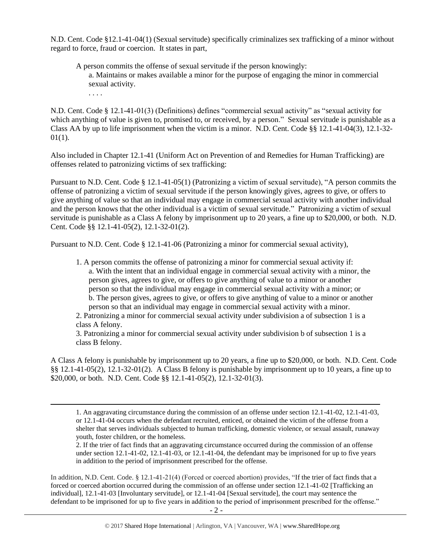N.D. Cent. Code §12.1-41-04(1) (Sexual servitude) specifically criminalizes sex trafficking of a minor without regard to force, fraud or coercion. It states in part,

A person commits the offense of sexual servitude if the person knowingly: a. Maintains or makes available a minor for the purpose of engaging the minor in commercial sexual activity.

. . . .

 $\overline{\phantom{a}}$ 

N.D. Cent. Code § 12.1-41-01(3) (Definitions) defines "commercial sexual activity" as "sexual activity for which anything of value is given to, promised to, or received, by a person." Sexual servitude is punishable as a Class AA by up to life imprisonment when the victim is a minor. N.D. Cent. Code §§ 12.1-41-04(3), 12.1-32-  $01(1)$ .

Also included in Chapter 12.1-41 (Uniform Act on Prevention of and Remedies for Human Trafficking) are offenses related to patronizing victims of sex trafficking:

Pursuant to N.D. Cent. Code § 12.1-41-05(1) (Patronizing a victim of sexual servitude), "A person commits the offense of patronizing a victim of sexual servitude if the person knowingly gives, agrees to give, or offers to give anything of value so that an individual may engage in commercial sexual activity with another individual and the person knows that the other individual is a victim of sexual servitude." Patronizing a victim of sexual servitude is punishable as a Class A felony by imprisonment up to 20 years, a fine up to \$20,000, or both. N.D. Cent. Code §§ 12.1-41-05(2), 12.1-32-01(2).

Pursuant to N.D. Cent. Code § 12.1-41-06 (Patronizing a minor for commercial sexual activity),

1. A person commits the offense of patronizing a minor for commercial sexual activity if: a. With the intent that an individual engage in commercial sexual activity with a minor, the person gives, agrees to give, or offers to give anything of value to a minor or another person so that the individual may engage in commercial sexual activity with a minor; or b. The person gives, agrees to give, or offers to give anything of value to a minor or another person so that an individual may engage in commercial sexual activity with a minor.

2. Patronizing a minor for commercial sexual activity under subdivision a of subsection 1 is a class A felony.

3. Patronizing a minor for commercial sexual activity under subdivision b of subsection 1 is a class B felony.

A Class A felony is punishable by imprisonment up to 20 years, a fine up to \$20,000, or both. N.D. Cent. Code §§ 12.1-41-05(2), 12.1-32-01(2). A Class B felony is punishable by imprisonment up to 10 years, a fine up to \$20,000, or both. N.D. Cent. Code §§ 12.1-41-05(2), 12.1-32-01(3).

1. An aggravating circumstance during the commission of an offense under section 12.1-41-02, 12.1-41-03, or 12.1-41-04 occurs when the defendant recruited, enticed, or obtained the victim of the offense from a shelter that serves individuals subjected to human trafficking, domestic violence, or sexual assault, runaway youth, foster children, or the homeless.

2. If the trier of fact finds that an aggravating circumstance occurred during the commission of an offense under section 12.1-41-02, 12.1-41-03, or 12.1-41-04, the defendant may be imprisoned for up to five years in addition to the period of imprisonment prescribed for the offense.

In addition, N.D. Cent. Code. § 12.1-41-21(4) (Forced or coerced abortion) provides, "If the trier of fact finds that a forced or coerced abortion occurred during the commission of an offense under section 12.1-41-02 [Trafficking an individual], 12.1-41-03 [Involuntary servitude], or 12.1-41-04 [Sexual servitude], the court may sentence the defendant to be imprisoned for up to five years in addition to the period of imprisonment prescribed for the offense."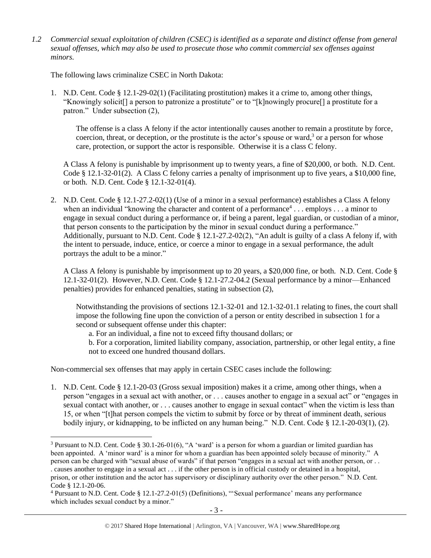*1.2 Commercial sexual exploitation of children (CSEC) is identified as a separate and distinct offense from general sexual offenses, which may also be used to prosecute those who commit commercial sex offenses against minors.*

The following laws criminalize CSEC in North Dakota:

1. N.D. Cent. Code § 12.1-29-02(1) (Facilitating prostitution) makes it a crime to, among other things, "Knowingly solicit[] a person to patronize a prostitute" or to "[k]nowingly procure[] a prostitute for a patron." Under subsection (2),

The offense is a class A felony if the actor intentionally causes another to remain a prostitute by force, coercion, threat, or deception, or the prostitute is the actor's spouse or ward,<sup>3</sup> or a person for whose care, protection, or support the actor is responsible. Otherwise it is a class C felony.

A Class A felony is punishable by imprisonment up to twenty years, a fine of \$20,000, or both. N.D. Cent. Code § 12.1-32-01(2). A Class C felony carries a penalty of imprisonment up to five years, a \$10,000 fine, or both. N.D. Cent. Code § 12.1-32-01(4).

2. N.D. Cent. Code § 12.1-27.2-02(1) (Use of a minor in a sexual performance) establishes a Class A felony when an individual "knowing the character and content of a performance<sup>4</sup>... employs ... a minor to engage in sexual conduct during a performance or, if being a parent, legal guardian, or custodian of a minor, that person consents to the participation by the minor in sexual conduct during a performance." Additionally, pursuant to N.D. Cent. Code § 12.1-27.2-02(2), "An adult is guilty of a class A felony if, with the intent to persuade, induce, entice, or coerce a minor to engage in a sexual performance, the adult portrays the adult to be a minor."

A Class A felony is punishable by imprisonment up to 20 years, a \$20,000 fine, or both. N.D. Cent. Code § 12.1-32-01(2). However, N.D. Cent. Code § 12.1-27.2-04.2 (Sexual performance by a minor—Enhanced penalties) provides for enhanced penalties, stating in subsection (2),

Notwithstanding the provisions of sections 12.1-32-01 and 12.1-32-01.1 relating to fines, the court shall impose the following fine upon the conviction of a person or entity described in subsection 1 for a second or subsequent offense under this chapter:

a. For an individual, a fine not to exceed fifty thousand dollars; or

b. For a corporation, limited liability company, association, partnership, or other legal entity, a fine not to exceed one hundred thousand dollars.

Non-commercial sex offenses that may apply in certain CSEC cases include the following:

 $\overline{a}$ 

1. N.D. Cent. Code § 12.1-20-03 (Gross sexual imposition) makes it a crime, among other things, when a person "engages in a sexual act with another, or . . . causes another to engage in a sexual act" or "engages in sexual contact with another, or . . . causes another to engage in sexual contact" when the victim is less than 15, or when "[t]hat person compels the victim to submit by force or by threat of imminent death, serious bodily injury, or kidnapping, to be inflicted on any human being." N.D. Cent. Code § 12.1-20-03(1), (2).

<sup>&</sup>lt;sup>3</sup> Pursuant to N.D. Cent. Code § 30.1-26-01(6), "A 'ward' is a person for whom a guardian or limited guardian has been appointed. A 'minor ward' is a minor for whom a guardian has been appointed solely because of minority." A person can be charged with "sexual abuse of wards" if that person "engages in a sexual act with another person, or . . . causes another to engage in a sexual act . . . if the other person is in official custody or detained in a hospital, prison, or other institution and the actor has supervisory or disciplinary authority over the other person." N.D. Cent. Code § 12.1-20-06.

<sup>4</sup> Pursuant to N.D. Cent. Code § 12.1-27.2-01(5) (Definitions), "'Sexual performance' means any performance which includes sexual conduct by a minor."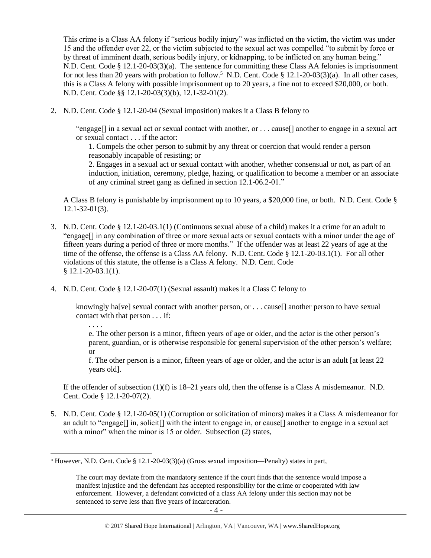This crime is a Class AA felony if "serious bodily injury" was inflicted on the victim, the victim was under 15 and the offender over 22, or the victim subjected to the sexual act was compelled "to submit by force or by threat of imminent death, serious bodily injury, or kidnapping, to be inflicted on any human being." N.D. Cent. Code § 12.1-20-03(3)(a). The sentence for committing these Class AA felonies is imprisonment for not less than 20 years with probation to follow.<sup>5</sup> N.D. Cent. Code § 12.1-20-03(3)(a). In all other cases, this is a Class A felony with possible imprisonment up to 20 years, a fine not to exceed \$20,000, or both. N.D. Cent. Code §§ 12.1-20-03(3)(b), 12.1-32-01(2).

2. N.D. Cent. Code § 12.1-20-04 (Sexual imposition) makes it a Class B felony to

"engage[] in a sexual act or sexual contact with another, or . . . cause[] another to engage in a sexual act or sexual contact . . . if the actor:

1. Compels the other person to submit by any threat or coercion that would render a person reasonably incapable of resisting; or

2. Engages in a sexual act or sexual contact with another, whether consensual or not, as part of an induction, initiation, ceremony, pledge, hazing, or qualification to become a member or an associate of any criminal street gang as defined in section 12.1-06.2-01."

A Class B felony is punishable by imprisonment up to 10 years, a \$20,000 fine, or both. N.D. Cent. Code § 12.1-32-01(3).

- 3. N.D. Cent. Code § 12.1-20-03.1(1) (Continuous sexual abuse of a child) makes it a crime for an adult to "engage[] in any combination of three or more sexual acts or sexual contacts with a minor under the age of fifteen years during a period of three or more months." If the offender was at least 22 years of age at the time of the offense, the offense is a Class AA felony. N.D. Cent. Code § 12.1-20-03.1(1). For all other violations of this statute, the offense is a Class A felony. N.D. Cent. Code § 12.1-20-03.1(1).
- 4. N.D. Cent. Code § 12.1-20-07(1) (Sexual assault) makes it a Class C felony to

knowingly ha<sup>[ve]</sup> sexual contact with another person, or . . . cause<sup>[]</sup> another person to have sexual contact with that person . . . if:

. . . .

 $\overline{\phantom{a}}$ 

e. The other person is a minor, fifteen years of age or older, and the actor is the other person's parent, guardian, or is otherwise responsible for general supervision of the other person's welfare; or

f. The other person is a minor, fifteen years of age or older, and the actor is an adult [at least 22 years old].

If the offender of subsection (1)(f) is 18–21 years old, then the offense is a Class A misdemeanor. N.D. Cent. Code § 12.1-20-07(2).

5. N.D. Cent. Code § 12.1-20-05(1) (Corruption or solicitation of minors) makes it a Class A misdemeanor for an adult to "engage[] in, solicit[] with the intent to engage in, or cause[] another to engage in a sexual act with a minor" when the minor is 15 or older. Subsection (2) states,

<sup>5</sup> However, N.D. Cent. Code § 12.1-20-03(3)(a) (Gross sexual imposition—Penalty) states in part,

The court may deviate from the mandatory sentence if the court finds that the sentence would impose a manifest injustice and the defendant has accepted responsibility for the crime or cooperated with law enforcement. However, a defendant convicted of a class AA felony under this section may not be sentenced to serve less than five years of incarceration.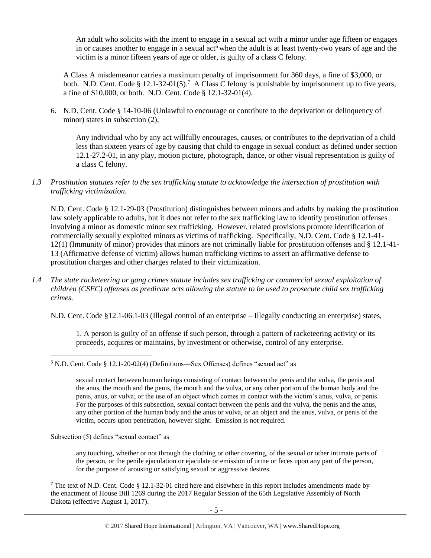<span id="page-4-0"></span>An adult who solicits with the intent to engage in a sexual act with a minor under age fifteen or engages in or causes another to engage in a sexual act<sup>6</sup> when the adult is at least twenty-two years of age and the victim is a minor fifteen years of age or older, is guilty of a class C felony.

A Class A misdemeanor carries a maximum penalty of imprisonment for 360 days, a fine of \$3,000, or both. N.D. Cent. Code § 12.1-32-01(5).<sup>7</sup> A Class C felony is punishable by imprisonment up to five years, a fine of \$10,000, or both. N.D. Cent. Code § 12.1-32-01(4).

6. N.D. Cent. Code § 14-10-06 (Unlawful to encourage or contribute to the deprivation or delinquency of minor) states in subsection (2),

Any individual who by any act willfully encourages, causes, or contributes to the deprivation of a child less than sixteen years of age by causing that child to engage in sexual conduct as defined under section 12.1-27.2-01, in any play, motion picture, photograph, dance, or other visual representation is guilty of a class C felony.

*1.3 Prostitution statutes refer to the sex trafficking statute to acknowledge the intersection of prostitution with trafficking victimization.* 

N.D. Cent. Code § 12.1-29-03 (Prostitution) distinguishes between minors and adults by making the prostitution law solely applicable to adults, but it does not refer to the sex trafficking law to identify prostitution offenses involving a minor as domestic minor sex trafficking. However, related provisions promote identification of commercially sexually exploited minors as victims of trafficking. Specifically, N.D. Cent. Code § 12.1-41- 12(1) (Immunity of minor) provides that minors are not criminally liable for prostitution offenses and § 12.1-41- 13 (Affirmative defense of victim) allows human trafficking victims to assert an affirmative defense to prostitution charges and other charges related to their victimization.

*1.4 The state racketeering or gang crimes statute includes sex trafficking or commercial sexual exploitation of children (CSEC) offenses as predicate acts allowing the statute to be used to prosecute child sex trafficking crimes.* 

N.D. Cent. Code §12.1-06.1-03 (Illegal control of an enterprise – Illegally conducting an enterprise) states,

1. A person is guilty of an offense if such person, through a pattern of racketeering activity or its proceeds, acquires or maintains, by investment or otherwise, control of any enterprise.

 $\overline{\phantom{a}}$  $6$  N.D. Cent. Code § 12.1-20-02(4) (Definitions—Sex Offenses) defines "sexual act" as

> sexual contact between human beings consisting of contact between the penis and the vulva, the penis and the anus, the mouth and the penis, the mouth and the vulva, or any other portion of the human body and the penis, anus, or vulva; or the use of an object which comes in contact with the victim's anus, vulva, or penis. For the purposes of this subsection, sexual contact between the penis and the vulva, the penis and the anus, any other portion of the human body and the anus or vulva, or an object and the anus, vulva, or penis of the victim, occurs upon penetration, however slight. Emission is not required.

Subsection (5) defines "sexual contact" as

any touching, whether or not through the clothing or other covering, of the sexual or other intimate parts of the person, or the penile ejaculation or ejaculate or emission of urine or feces upon any part of the person, for the purpose of arousing or satisfying sexual or aggressive desires.

<sup>7</sup> The text of N.D. Cent. Code § 12.1-32-01 cited here and elsewhere in this report includes amendments made by the enactment of House Bill 1269 during the 2017 Regular Session of the 65th Legislative Assembly of North Dakota (effective August 1, 2017).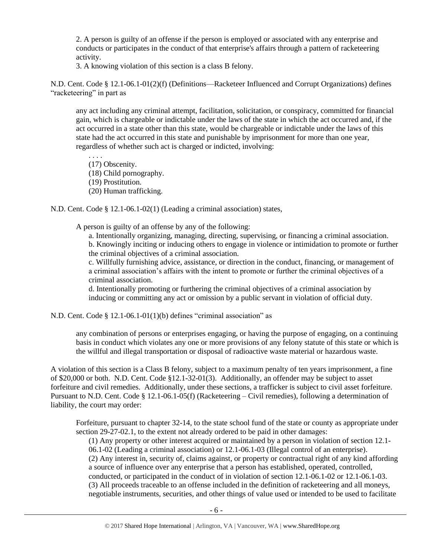2. A person is guilty of an offense if the person is employed or associated with any enterprise and conducts or participates in the conduct of that enterprise's affairs through a pattern of racketeering activity.

3. A knowing violation of this section is a class B felony.

N.D. Cent. Code § 12.1-06.1-01(2)(f) (Definitions—Racketeer Influenced and Corrupt Organizations) defines "racketeering" in part as

any act including any criminal attempt, facilitation, solicitation, or conspiracy, committed for financial gain, which is chargeable or indictable under the laws of the state in which the act occurred and, if the act occurred in a state other than this state, would be chargeable or indictable under the laws of this state had the act occurred in this state and punishable by imprisonment for more than one year, regardless of whether such act is charged or indicted, involving:

. . . . (17) Obscenity.

(18) Child pornography.

(19) Prostitution.

(20) Human trafficking.

N.D. Cent. Code § 12.1-06.1-02(1) (Leading a criminal association) states,

A person is guilty of an offense by any of the following:

a. Intentionally organizing, managing, directing, supervising, or financing a criminal association. b. Knowingly inciting or inducing others to engage in violence or intimidation to promote or further the criminal objectives of a criminal association.

c. Willfully furnishing advice, assistance, or direction in the conduct, financing, or management of a criminal association's affairs with the intent to promote or further the criminal objectives of a criminal association.

d. Intentionally promoting or furthering the criminal objectives of a criminal association by inducing or committing any act or omission by a public servant in violation of official duty.

N.D. Cent. Code § 12.1-06.1-01(1)(b) defines "criminal association" as

any combination of persons or enterprises engaging, or having the purpose of engaging, on a continuing basis in conduct which violates any one or more provisions of any felony statute of this state or which is the willful and illegal transportation or disposal of radioactive waste material or hazardous waste.

A violation of this section is a Class B felony, subject to a maximum penalty of ten years imprisonment, a fine of \$20,000 or both. N.D. Cent. Code §12.1-32-01(3). Additionally, an offender may be subject to asset forfeiture and civil remedies. Additionally, under these sections, a trafficker is subject to civil asset forfeiture. Pursuant to N.D. Cent. Code § 12.1-06.1-05(f) (Racketeering – Civil remedies), following a determination of liability, the court may order:

Forfeiture, pursuant to chapter 32-14, to the state school fund of the state or county as appropriate under section 29-27-02.1, to the extent not already ordered to be paid in other damages:

(1) Any property or other interest acquired or maintained by a person in violation of section 12.1- 06.1-02 (Leading a criminal association) or 12.1-06.1-03 (Illegal control of an enterprise). (2) Any interest in, security of, claims against, or property or contractual right of any kind affording a source of influence over any enterprise that a person has established, operated, controlled, conducted, or participated in the conduct of in violation of section 12.1-06.1-02 or 12.1-06.1-03. (3) All proceeds traceable to an offense included in the definition of racketeering and all moneys, negotiable instruments, securities, and other things of value used or intended to be used to facilitate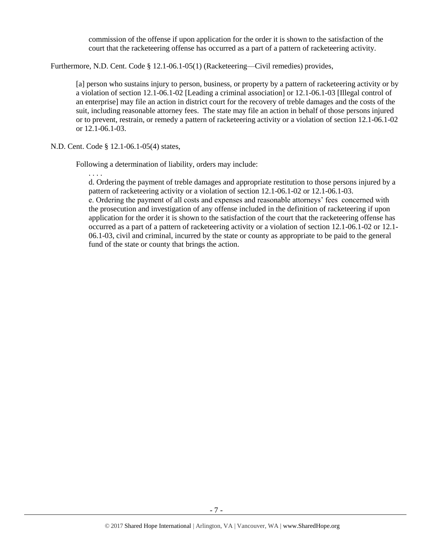commission of the offense if upon application for the order it is shown to the satisfaction of the court that the racketeering offense has occurred as a part of a pattern of racketeering activity.

Furthermore, N.D. Cent. Code § 12.1-06.1-05(1) (Racketeering—Civil remedies) provides,

[a] person who sustains injury to person, business, or property by a pattern of racketeering activity or by a violation of section 12.1-06.1-02 [Leading a criminal association] or 12.1-06.1-03 [Illegal control of an enterprise] may file an action in district court for the recovery of treble damages and the costs of the suit, including reasonable attorney fees. The state may file an action in behalf of those persons injured or to prevent, restrain, or remedy a pattern of racketeering activity or a violation of section 12.1-06.1-02 or 12.1-06.1-03.

N.D. Cent. Code § 12.1-06.1-05(4) states,

Following a determination of liability, orders may include:

. . . . d. Ordering the payment of treble damages and appropriate restitution to those persons injured by a pattern of racketeering activity or a violation of section 12.1-06.1-02 or 12.1-06.1-03. e. Ordering the payment of all costs and expenses and reasonable attorneys' fees concerned with the prosecution and investigation of any offense included in the definition of racketeering if upon application for the order it is shown to the satisfaction of the court that the racketeering offense has occurred as a part of a pattern of racketeering activity or a violation of section 12.1-06.1-02 or 12.1- 06.1-03, civil and criminal, incurred by the state or county as appropriate to be paid to the general fund of the state or county that brings the action.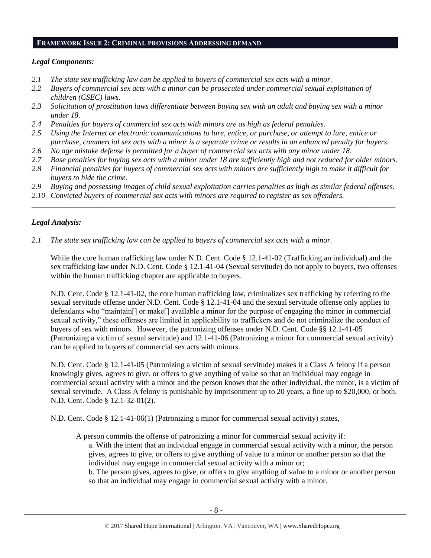#### **FRAMEWORK ISSUE 2: CRIMINAL PROVISIONS ADDRESSING DEMAND**

# *Legal Components:*

- *2.1 The state sex trafficking law can be applied to buyers of commercial sex acts with a minor.*
- *2.2 Buyers of commercial sex acts with a minor can be prosecuted under commercial sexual exploitation of children (CSEC) laws.*
- *2.3 Solicitation of prostitution laws differentiate between buying sex with an adult and buying sex with a minor under 18.*
- *2.4 Penalties for buyers of commercial sex acts with minors are as high as federal penalties.*
- *2.5 Using the Internet or electronic communications to lure, entice, or purchase, or attempt to lure, entice or purchase, commercial sex acts with a minor is a separate crime or results in an enhanced penalty for buyers.*
- *2.6 No age mistake defense is permitted for a buyer of commercial sex acts with any minor under 18.*
- *2.7 Base penalties for buying sex acts with a minor under 18 are sufficiently high and not reduced for older minors.*
- *2.8 Financial penalties for buyers of commercial sex acts with minors are sufficiently high to make it difficult for buyers to hide the crime.*
- *2.9 Buying and possessing images of child sexual exploitation carries penalties as high as similar federal offenses.*

\_\_\_\_\_\_\_\_\_\_\_\_\_\_\_\_\_\_\_\_\_\_\_\_\_\_\_\_\_\_\_\_\_\_\_\_\_\_\_\_\_\_\_\_\_\_\_\_\_\_\_\_\_\_\_\_\_\_\_\_\_\_\_\_\_\_\_\_\_\_\_\_\_\_\_\_\_\_\_\_\_\_\_\_\_\_\_\_\_\_\_\_\_\_

*2.10 Convicted buyers of commercial sex acts with minors are required to register as sex offenders.*

# *Legal Analysis:*

*2.1 The state sex trafficking law can be applied to buyers of commercial sex acts with a minor.* 

While the core human trafficking law under N.D. Cent. Code § 12.1-41-02 (Trafficking an individual) and the sex trafficking law under N.D. Cent. Code § 12.1-41-04 (Sexual servitude) do not apply to buyers, two offenses within the human trafficking chapter are applicable to buyers.

N.D. Cent. Code § 12.1-41-02, the core human trafficking law, criminalizes sex trafficking by referring to the sexual servitude offense under N.D. Cent. Code § 12.1-41-04 and the sexual servitude offense only applies to defendants who "maintain[] or make[] available a minor for the purpose of engaging the minor in commercial sexual activity," these offenses are limited in applicability to traffickers and do not criminalize the conduct of buyers of sex with minors. However, the patronizing offenses under N.D. Cent. Code §§ 12.1-41-05 (Patronizing a victim of sexual servitude) and 12.1-41-06 (Patronizing a minor for commercial sexual activity) can be applied to buyers of commercial sex acts with minors.

N.D. Cent. Code § 12.1-41-05 (Patronizing a victim of sexual servitude) makes it a Class A felony if a person knowingly gives, agrees to give, or offers to give anything of value so that an individual may engage in commercial sexual activity with a minor and the person knows that the other individual, the minor, is a victim of sexual servitude. A Class A felony is punishable by imprisonment up to 20 years, a fine up to \$20,000, or both. N.D. Cent. Code § 12.1-32-01(2).

N.D. Cent. Code § 12.1-41-06(1) (Patronizing a minor for commercial sexual activity) states,

A person commits the offense of patronizing a minor for commercial sexual activity if:

a. With the intent that an individual engage in commercial sexual activity with a minor, the person gives, agrees to give, or offers to give anything of value to a minor or another person so that the individual may engage in commercial sexual activity with a minor or;

b. The person gives, agrees to give, or offers to give anything of value to a minor or another person so that an individual may engage in commercial sexual activity with a minor.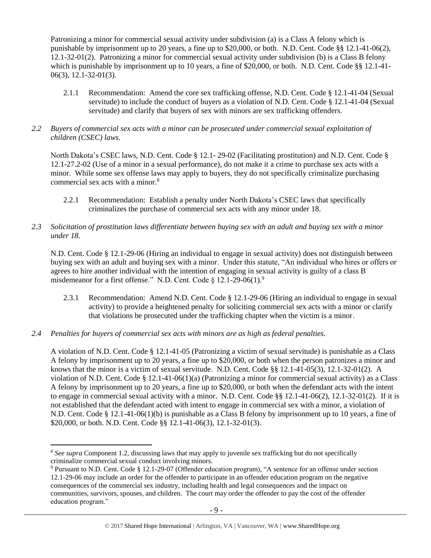Patronizing a minor for commercial sexual activity under subdivision (a) is a Class A felony which is punishable by imprisonment up to 20 years, a fine up to \$20,000, or both. N.D. Cent. Code §§ 12.1-41-06(2), 12.1-32-01(2). Patronizing a minor for commercial sexual activity under subdivision (b) is a Class B felony which is punishable by imprisonment up to 10 years, a fine of \$20,000, or both. N.D. Cent. Code §§ 12.1-41-06(3), 12.1-32-01(3).

- 2.1.1 Recommendation: Amend the core sex trafficking offense, N.D. Cent. Code § 12.1-41-04 (Sexual servitude) to include the conduct of buyers as a violation of N.D. Cent. Code § 12.1-41-04 (Sexual servitude) and clarify that buyers of sex with minors are sex trafficking offenders.
- *2.2 Buyers of commercial sex acts with a minor can be prosecuted under commercial sexual exploitation of children (CSEC) laws.*

North Dakota's CSEC laws, N.D. Cent. Code § 12.1- 29-02 (Facilitating prostitution) and N.D. Cent. Code § 12.1-27.2-02 (Use of a minor in a sexual performance), do not make it a crime to purchase sex acts with a minor. While some sex offense laws may apply to buyers, they do not specifically criminalize purchasing commercial sex acts with a minor.<sup>8</sup>

- 2.2.1 Recommendation: Establish a penalty under North Dakota's CSEC laws that specifically criminalizes the purchase of commercial sex acts with any minor under 18.
- *2.3 Solicitation of prostitution laws differentiate between buying sex with an adult and buying sex with a minor under 18.*

N.D. Cent. Code § 12.1-29-06 (Hiring an individual to engage in sexual activity) does not distinguish between buying sex with an adult and buying sex with a minor. Under this statute, "An individual who hires or offers or agrees to hire another individual with the intention of engaging in sexual activity is guilty of a class B misdemeanor for a first offense." N.D. Cent. Code  $\S 12.1-29-06(1).$ <sup>9</sup>

- <span id="page-8-0"></span>2.3.1 Recommendation: Amend N.D. Cent. Code § 12.1-29-06 (Hiring an individual to engage in sexual activity) to provide a heightened penalty for soliciting commercial sex acts with a minor or clarify that violations be prosecuted under the trafficking chapter when the victim is a minor.
- *2.4 Penalties for buyers of commercial sex acts with minors are as high as federal penalties.*

 $\overline{\phantom{a}}$ 

A violation of N.D. Cent. Code § 12.1-41-05 (Patronizing a victim of sexual servitude) is punishable as a Class A felony by imprisonment up to 20 years, a fine up to \$20,000, or both when the person patronizes a minor and knows that the minor is a victim of sexual servitude. N.D. Cent. Code §§ 12.1-41-05(3), 12.1-32-01(2). A violation of N.D. Cent. Code § 12.1-41-06(1)(a) (Patronizing a minor for commercial sexual activity) as a Class A felony by imprisonment up to 20 years, a fine up to \$20,000, or both when the defendant acts with the intent to engage in commercial sexual activity with a minor. N.D. Cent. Code §§ 12.1-41-06(2), 12.1-32-01(2). If it is not established that the defendant acted with intent to engage in commercial sex with a minor, a violation of N.D. Cent. Code § 12.1-41-06(1)(b) is punishable as a Class B felony by imprisonment up to 10 years, a fine of \$20,000, or both. N.D. Cent. Code §§ 12.1-41-06(3), 12.1-32-01(3).

<sup>&</sup>lt;sup>8</sup> See supra Component 1.2, discussing laws that may apply to juvenile sex trafficking but do not specifically criminalize commercial sexual conduct involving minors.

<sup>9</sup> Pursuant to N.D. Cent. Code § 12.1-29-07 (Offender education program), "A sentence for an offense under section 12.1-29-06 may include an order for the offender to participate in an offender education program on the negative consequences of the commercial sex industry, including health and legal consequences and the impact on communities, survivors, spouses, and children. The court may order the offender to pay the cost of the offender education program."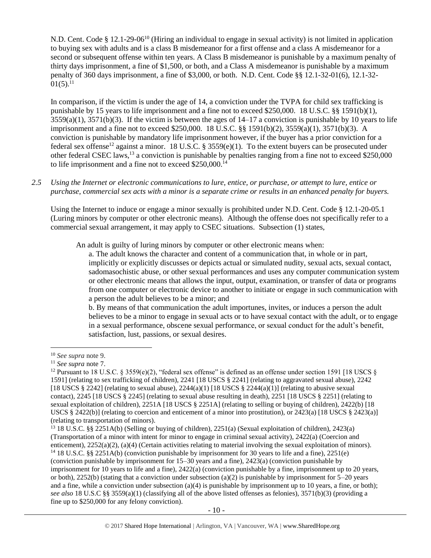N.D. Cent. Code § 12.1-29-06<sup>10</sup> (Hiring an individual to engage in sexual activity) is not limited in application to buying sex with adults and is a class B misdemeanor for a first offense and a class A misdemeanor for a second or subsequent offense within ten years. A Class B misdemeanor is punishable by a maximum penalty of thirty days imprisonment, a fine of \$1,500, or both, and a Class A misdemeanor is punishable by a maximum penalty of 360 days imprisonment, a fine of \$3,000, or both. N.D. Cent. Code §§ 12.1-32-01(6), 12.1-32-  $01(5).^{11}$ 

<span id="page-9-0"></span>In comparison, if the victim is under the age of 14, a conviction under the TVPA for child sex trafficking is punishable by 15 years to life imprisonment and a fine not to exceed \$250,000. 18 U.S.C. §§ 1591(b)(1),  $3559(a)(1)$ ,  $3571(b)(3)$ . If the victim is between the ages of  $14-17$  a conviction is punishable by 10 years to life imprisonment and a fine not to exceed \$250,000. 18 U.S.C. §§ 1591(b)(2), 3559(a)(1), 3571(b)(3). A conviction is punishable by mandatory life imprisonment however, if the buyer has a prior conviction for a federal sex offense<sup>12</sup> against a minor. 18 U.S.C. § 3559(e)(1). To the extent buyers can be prosecuted under other federal CSEC laws,<sup>13</sup> a conviction is punishable by penalties ranging from a fine not to exceed \$250,000 to life imprisonment and a fine not to exceed \$250,000.<sup>14</sup>

*2.5 Using the Internet or electronic communications to lure, entice, or purchase, or attempt to lure, entice or purchase, commercial sex acts with a minor is a separate crime or results in an enhanced penalty for buyers.*

Using the Internet to induce or engage a minor sexually is prohibited under N.D. Cent. Code § 12.1-20-05.1 (Luring minors by computer or other electronic means). Although the offense does not specifically refer to a commercial sexual arrangement, it may apply to CSEC situations. Subsection (1) states,

An adult is guilty of luring minors by computer or other electronic means when:

a. The adult knows the character and content of a communication that, in whole or in part, implicitly or explicitly discusses or depicts actual or simulated nudity, sexual acts, sexual contact, sadomasochistic abuse, or other sexual performances and uses any computer communication system or other electronic means that allows the input, output, examination, or transfer of data or programs from one computer or electronic device to another to initiate or engage in such communication with a person the adult believes to be a minor; and

b. By means of that communication the adult importunes, invites, or induces a person the adult believes to be a minor to engage in sexual acts or to have sexual contact with the adult, or to engage in a sexual performance, obscene sexual performance, or sexual conduct for the adult's benefit, satisfaction, lust, passions, or sexual desires.

<sup>10</sup> *See supra* note [9.](#page-8-0)

<sup>11</sup> *See supra* note [7.](#page-4-0)

<sup>&</sup>lt;sup>12</sup> Pursuant to 18 U.S.C. § 3559(e)(2), "federal sex offense" is defined as an offense under section 1591 [18 USCS § 1591] (relating to sex trafficking of children), 2241 [18 USCS § 2241] (relating to aggravated sexual abuse), 2242 [18 USCS § 2242] (relating to sexual abuse),  $2244(a)(1)$  [18 USCS § 2244(a)(1)] (relating to abusive sexual contact), 2245 [18 USCS § 2245] (relating to sexual abuse resulting in death), 2251 [18 USCS § 2251] (relating to sexual exploitation of children), 2251A [18 USCS § 2251A] (relating to selling or buying of children), 2422(b) [18 USCS § 2422(b)] (relating to coercion and enticement of a minor into prostitution), or 2423(a) [18 USCS § 2423(a)] (relating to transportation of minors).

<sup>13</sup> 18 U.S.C. §§ 2251A(b) (Selling or buying of children), 2251(a) (Sexual exploitation of children), 2423(a) (Transportation of a minor with intent for minor to engage in criminal sexual activity), 2422(a) (Coercion and enticement), 2252(a)(2), (a)(4) (Certain activities relating to material involving the sexual exploitation of minors). <sup>14</sup> 18 U.S.C. §§ 2251A(b) (conviction punishable by imprisonment for 30 years to life and a fine), 2251(e)

<sup>(</sup>conviction punishable by imprisonment for 15–30 years and a fine), 2423(a) (conviction punishable by imprisonment for 10 years to life and a fine), 2422(a) (conviction punishable by a fine, imprisonment up to 20 years, or both), 2252(b) (stating that a conviction under subsection (a)(2) is punishable by imprisonment for  $5-20$  years and a fine, while a conviction under subsection (a)(4) is punishable by imprisonment up to 10 years, a fine, or both); *see also* 18 U.S.C §§ 3559(a)(1) (classifying all of the above listed offenses as felonies), 3571(b)(3) (providing a fine up to \$250,000 for any felony conviction).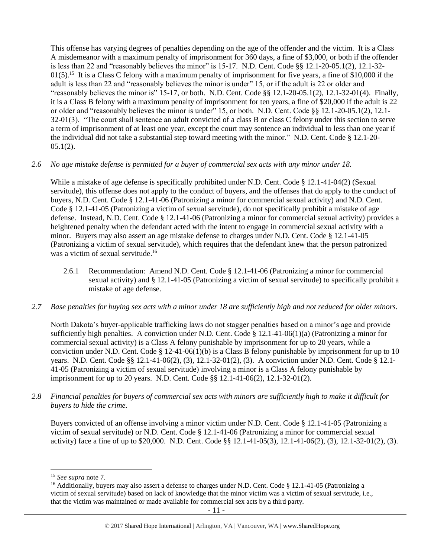This offense has varying degrees of penalties depending on the age of the offender and the victim. It is a Class A misdemeanor with a maximum penalty of imprisonment for 360 days, a fine of \$3,000, or both if the offender is less than 22 and "reasonably believes the minor" is 15-17. N.D. Cent. Code §§ 12.1-20-05.1(2), 12.1-32- 01(5).<sup>15</sup> It is a Class C felony with a maximum penalty of imprisonment for five years, a fine of \$10,000 if the adult is less than 22 and "reasonably believes the minor is under" 15, or if the adult is 22 or older and "reasonably believes the minor is" 15-17, or both. N.D. Cent. Code §§ 12.1-20-05.1(2), 12.1-32-01(4). Finally, it is a Class B felony with a maximum penalty of imprisonment for ten years, a fine of \$20,000 if the adult is 22 or older and "reasonably believes the minor is under" 15, or both. N.D. Cent. Code §§ 12.1-20-05.1(2), 12.1- 32-01(3). "The court shall sentence an adult convicted of a class B or class C felony under this section to serve a term of imprisonment of at least one year, except the court may sentence an individual to less than one year if the individual did not take a substantial step toward meeting with the minor." N.D. Cent. Code § 12.1-20-  $05.1(2)$ .

# *2.6 No age mistake defense is permitted for a buyer of commercial sex acts with any minor under 18.*

While a mistake of age defense is specifically prohibited under N.D. Cent. Code § 12.1-41-04(2) (Sexual servitude), this offense does not apply to the conduct of buyers, and the offenses that do apply to the conduct of buyers, N.D. Cent. Code § 12.1-41-06 (Patronizing a minor for commercial sexual activity) and N.D. Cent. Code § 12.1-41-05 (Patronizing a victim of sexual servitude), do not specifically prohibit a mistake of age defense. Instead, N.D. Cent. Code § 12.1-41-06 (Patronizing a minor for commercial sexual activity) provides a heightened penalty when the defendant acted with the intent to engage in commercial sexual activity with a minor. Buyers may also assert an age mistake defense to charges under N.D. Cent. Code § 12.1-41-05 (Patronizing a victim of sexual servitude), which requires that the defendant knew that the person patronized was a victim of sexual servitude. 16

- 2.6.1 Recommendation: Amend N.D. Cent. Code § 12.1-41-06 (Patronizing a minor for commercial sexual activity) and § 12.1-41-05 (Patronizing a victim of sexual servitude) to specifically prohibit a mistake of age defense.
- *2.7 Base penalties for buying sex acts with a minor under 18 are sufficiently high and not reduced for older minors.*

North Dakota's buyer-applicable trafficking laws do not stagger penalties based on a minor's age and provide sufficiently high penalties. A conviction under N.D. Cent. Code § 12.1-41-06(1)(a) (Patronizing a minor for commercial sexual activity) is a Class A felony punishable by imprisonment for up to 20 years, while a conviction under N.D. Cent. Code § 12-41-06(1)(b) is a Class B felony punishable by imprisonment for up to 10 years. N.D. Cent. Code §§ 12.1-41-06(2), (3), 12.1-32-01(2), (3). A conviction under N.D. Cent. Code § 12.1- 41-05 (Patronizing a victim of sexual servitude) involving a minor is a Class A felony punishable by imprisonment for up to 20 years. N.D. Cent. Code §§ 12.1-41-06(2), 12.1-32-01(2).

*2.8 Financial penalties for buyers of commercial sex acts with minors are sufficiently high to make it difficult for buyers to hide the crime.*

Buyers convicted of an offense involving a minor victim under N.D. Cent. Code § 12.1-41-05 (Patronizing a victim of sexual servitude) or N.D. Cent. Code § 12.1-41-06 (Patronizing a minor for commercial sexual activity) face a fine of up to \$20,000. N.D. Cent. Code §§ 12.1-41-05(3), 12.1-41-06(2), (3), 12.1-32-01(2), (3).

<sup>15</sup> *See supra* note [7.](#page-4-0)

<sup>&</sup>lt;sup>16</sup> Additionally, buyers may also assert a defense to charges under N.D. Cent. Code § 12.1-41-05 (Patronizing a victim of sexual servitude) based on lack of knowledge that the minor victim was a victim of sexual servitude, i.e., that the victim was maintained or made available for commercial sex acts by a third party.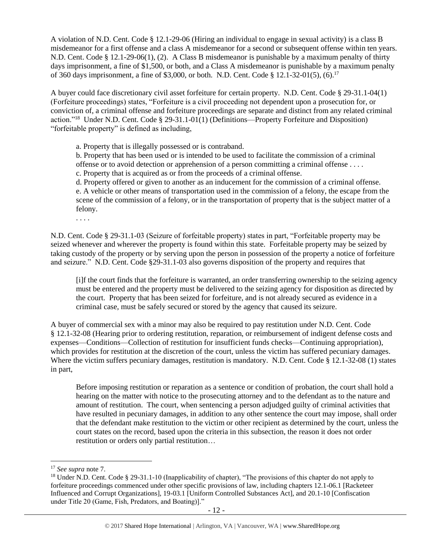A violation of N.D. Cent. Code § 12.1-29-06 (Hiring an individual to engage in sexual activity) is a class B misdemeanor for a first offense and a class A misdemeanor for a second or subsequent offense within ten years. N.D. Cent. Code § 12.1-29-06(1), (2). A Class B misdemeanor is punishable by a maximum penalty of thirty days imprisonment, a fine of \$1,500, or both, and a Class A misdemeanor is punishable by a maximum penalty of 360 days imprisonment, a fine of \$3,000, or both. N.D. Cent. Code § 12.1-32-01(5), (6).<sup>17</sup>

A buyer could face discretionary civil asset forfeiture for certain property. N.D. Cent. Code § 29-31.1-04(1) (Forfeiture proceedings) states, "Forfeiture is a civil proceeding not dependent upon a prosecution for, or conviction of, a criminal offense and forfeiture proceedings are separate and distinct from any related criminal action."<sup>18</sup> Under N.D. Cent. Code § 29-31.1-01(1) (Definitions—Property Forfeiture and Disposition) "forfeitable property" is defined as including,

<span id="page-11-0"></span>a. Property that is illegally possessed or is contraband.

b. Property that has been used or is intended to be used to facilitate the commission of a criminal offense or to avoid detection or apprehension of a person committing a criminal offense . . . . c. Property that is acquired as or from the proceeds of a criminal offense.

d. Property offered or given to another as an inducement for the commission of a criminal offense. e. A vehicle or other means of transportation used in the commission of a felony, the escape from the scene of the commission of a felony, or in the transportation of property that is the subject matter of a felony.

. . . .

N.D. Cent. Code § 29-31.1-03 (Seizure of forfeitable property) states in part, "Forfeitable property may be seized whenever and wherever the property is found within this state. Forfeitable property may be seized by taking custody of the property or by serving upon the person in possession of the property a notice of forfeiture and seizure." N.D. Cent. Code §29-31.1-03 also governs disposition of the property and requires that

[i]f the court finds that the forfeiture is warranted, an order transferring ownership to the seizing agency must be entered and the property must be delivered to the seizing agency for disposition as directed by the court. Property that has been seized for forfeiture, and is not already secured as evidence in a criminal case, must be safely secured or stored by the agency that caused its seizure.

A buyer of commercial sex with a minor may also be required to pay restitution under N.D. Cent. Code § 12.1-32-08 (Hearing prior to ordering restitution, reparation, or reimbursement of indigent defense costs and expenses—Conditions—Collection of restitution for insufficient funds checks—Continuing appropriation), which provides for restitution at the discretion of the court, unless the victim has suffered pecuniary damages. Where the victim suffers pecuniary damages, restitution is mandatory. N.D. Cent. Code § 12.1-32-08 (1) states in part,

Before imposing restitution or reparation as a sentence or condition of probation, the court shall hold a hearing on the matter with notice to the prosecuting attorney and to the defendant as to the nature and amount of restitution. The court, when sentencing a person adjudged guilty of criminal activities that have resulted in pecuniary damages, in addition to any other sentence the court may impose, shall order that the defendant make restitution to the victim or other recipient as determined by the court, unless the court states on the record, based upon the criteria in this subsection, the reason it does not order restitution or orders only partial restitution…

<sup>17</sup> *See supra* note [7.](#page-4-0)

<sup>&</sup>lt;sup>18</sup> Under N.D. Cent. Code § 29-31.1-10 (Inapplicability of chapter), "The provisions of this chapter do not apply to forfeiture proceedings commenced under other specific provisions of law, including chapters 12.1-06.1 [Racketeer Influenced and Corrupt Organizations], 19-03.1 [Uniform Controlled Substances Act], and 20.1-10 [Confiscation under Title 20 (Game, Fish, Predators, and Boating)]."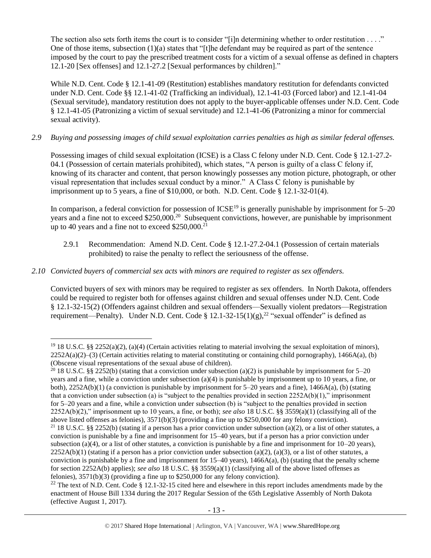The section also sets forth items the court is to consider "[i]n determining whether to order restitution  $\dots$ ." One of those items, subsection  $(1)(a)$  states that "[t]he defendant may be required as part of the sentence imposed by the court to pay the prescribed treatment costs for a victim of a sexual offense as defined in chapters 12.1-20 [Sex offenses] and 12.1-27.2 [Sexual performances by children]."

While N.D. Cent. Code § 12.1-41-09 (Restitution) establishes mandatory restitution for defendants convicted under N.D. Cent. Code §§ 12.1-41-02 (Trafficking an individual), 12.1-41-03 (Forced labor) and 12.1-41-04 (Sexual servitude), mandatory restitution does not apply to the buyer-applicable offenses under N.D. Cent. Code § 12.1-41-05 (Patronizing a victim of sexual servitude) and 12.1-41-06 (Patronizing a minor for commercial sexual activity).

# *2.9 Buying and possessing images of child sexual exploitation carries penalties as high as similar federal offenses.*

Possessing images of child sexual exploitation (ICSE) is a Class C felony under N.D. Cent. Code § 12.1-27.2- 04.1 (Possession of certain materials prohibited), which states, "A person is guilty of a class C felony if, knowing of its character and content, that person knowingly possesses any motion picture, photograph, or other visual representation that includes sexual conduct by a minor." A Class C felony is punishable by imprisonment up to 5 years, a fine of \$10,000, or both. N.D. Cent. Code § 12.1-32-01(4).

In comparison, a federal conviction for possession of  $ICSE^{19}$  is generally punishable by imprisonment for  $5-20$ years and a fine not to exceed \$250,000.<sup>20</sup> Subsequent convictions, however, are punishable by imprisonment up to 40 years and a fine not to exceed \$250,000.<sup>21</sup>

<span id="page-12-0"></span>2.9.1 Recommendation: Amend N.D. Cent. Code § 12.1-27.2-04.1 (Possession of certain materials prohibited) to raise the penalty to reflect the seriousness of the offense.

# *2.10 Convicted buyers of commercial sex acts with minors are required to register as sex offenders.*

 $\overline{\phantom{a}}$ 

Convicted buyers of sex with minors may be required to register as sex offenders. In North Dakota, offenders could be required to register both for offenses against children and sexual offenses under N.D. Cent. Code § 12.1-32-15(2) (Offenders against children and sexual offenders—Sexually violent predators—Registration requirement—Penalty). Under N.D. Cent. Code § 12.1-32-15(1)(g),<sup>22</sup> "sexual offender" is defined as

<sup>&</sup>lt;sup>19</sup> 18 U.S.C. §§ 2252(a)(2), (a)(4) (Certain activities relating to material involving the sexual exploitation of minors),  $2252A(a)(2)$ –(3) (Certain activities relating to material constituting or containing child pornography), 1466A(a), (b) (Obscene visual representations of the sexual abuse of children).

<sup>&</sup>lt;sup>20</sup> 18 U.S.C. §§ 2252(b) (stating that a conviction under subsection (a)(2) is punishable by imprisonment for 5–20 years and a fine, while a conviction under subsection (a)(4) is punishable by imprisonment up to 10 years, a fine, or both),  $2252A(b)(1)$  (a conviction is punishable by imprisonment for 5–20 years and a fine), 1466A(a), (b) (stating that a conviction under subsection (a) is "subject to the penalties provided in section 2252A(b)(1)," imprisonment for 5–20 years and a fine, while a conviction under subsection (b) is "subject to the penalties provided in section 2252A(b)(2)," imprisonment up to 10 years, a fine, or both); *see also* 18 U.S.C. §§ 3559(a)(1) (classifying all of the above listed offenses as felonies), 3571(b)(3) (providing a fine up to \$250,000 for any felony conviction). <sup>21</sup> 18 U.S.C. §§ 2252(b) (stating if a person has a prior conviction under subsection (a)(2), or a list of other statutes, a conviction is punishable by a fine and imprisonment for 15–40 years, but if a person has a prior conviction under subsection (a)(4), or a list of other statutes, a conviction is punishable by a fine and imprisonment for  $10-20$  years),  $2252A(b)(1)$  (stating if a person has a prior conviction under subsection (a)(2), (a)(3), or a list of other statutes, a conviction is punishable by a fine and imprisonment for  $15-40$  years),  $1466A(a)$ , (b) (stating that the penalty scheme for section 2252A(b) applies); *see also* 18 U.S.C. §§ 3559(a)(1) (classifying all of the above listed offenses as felonies), 3571(b)(3) (providing a fine up to \$250,000 for any felony conviction).

<sup>&</sup>lt;sup>22</sup> The text of N.D. Cent. Code  $\S$  12.1-32-15 cited here and elsewhere in this report includes amendments made by the enactment of House Bill 1334 during the 2017 Regular Session of the 65th Legislative Assembly of North Dakota (effective August 1, 2017).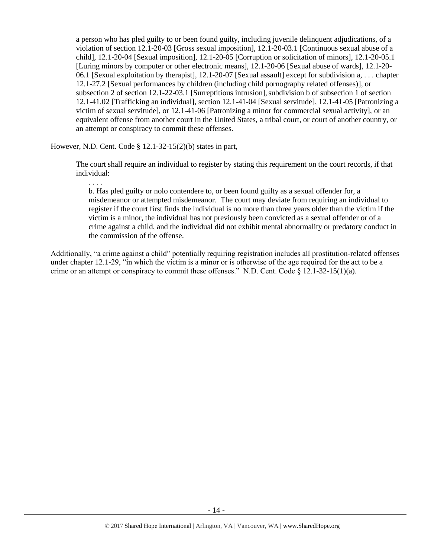a person who has pled guilty to or been found guilty, including juvenile delinquent adjudications, of a violation of section 12.1-20-03 [Gross sexual imposition], 12.1-20-03.1 [Continuous sexual abuse of a child], 12.1-20-04 [Sexual imposition], 12.1-20-05 [Corruption or solicitation of minors], 12.1-20-05.1 [Luring minors by computer or other electronic means], 12.1-20-06 [Sexual abuse of wards], 12.1-20- 06.1 [Sexual exploitation by therapist], 12.1-20-07 [Sexual assault] except for subdivision a, . . . chapter 12.1-27.2 [Sexual performances by children (including child pornography related offenses)], or subsection 2 of section 12.1-22-03.1 [Surreptitious intrusion], subdivision b of subsection 1 of section 12.1-41.02 [Trafficking an individual], section 12.1-41-04 [Sexual servitude], 12.1-41-05 [Patronizing a victim of sexual servitude], or 12.1-41-06 [Patronizing a minor for commercial sexual activity], or an equivalent offense from another court in the United States, a tribal court, or court of another country, or an attempt or conspiracy to commit these offenses.

However, N.D. Cent. Code § 12.1-32-15(2)(b) states in part,

. . . .

The court shall require an individual to register by stating this requirement on the court records, if that individual:

b. Has pled guilty or nolo contendere to, or been found guilty as a sexual offender for, a misdemeanor or attempted misdemeanor. The court may deviate from requiring an individual to register if the court first finds the individual is no more than three years older than the victim if the victim is a minor, the individual has not previously been convicted as a sexual offender or of a crime against a child, and the individual did not exhibit mental abnormality or predatory conduct in the commission of the offense.

Additionally, "a crime against a child" potentially requiring registration includes all prostitution-related offenses under chapter 12.1-29, "in which the victim is a minor or is otherwise of the age required for the act to be a crime or an attempt or conspiracy to commit these offenses." N.D. Cent. Code  $\S$  12.1-32-15(1)(a).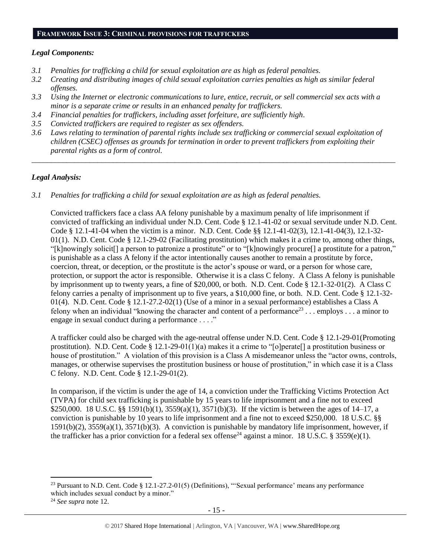#### **FRAMEWORK ISSUE 3: CRIMINAL PROVISIONS FOR TRAFFICKERS**

### *Legal Components:*

- *3.1 Penalties for trafficking a child for sexual exploitation are as high as federal penalties.*
- *3.2 Creating and distributing images of child sexual exploitation carries penalties as high as similar federal offenses.*
- *3.3 Using the Internet or electronic communications to lure, entice, recruit, or sell commercial sex acts with a minor is a separate crime or results in an enhanced penalty for traffickers.*
- *3.4 Financial penalties for traffickers, including asset forfeiture, are sufficiently high*.
- *3.5 Convicted traffickers are required to register as sex offenders.*
- *3.6 Laws relating to termination of parental rights include sex trafficking or commercial sexual exploitation of children (CSEC) offenses as grounds for termination in order to prevent traffickers from exploiting their parental rights as a form of control.*

*\_\_\_\_\_\_\_\_\_\_\_\_\_\_\_\_\_\_\_\_\_\_\_\_\_\_\_\_\_\_\_\_\_\_\_\_\_\_\_\_\_\_\_\_\_\_\_\_\_\_\_\_\_\_\_\_\_\_\_\_\_\_\_\_\_\_\_\_\_\_\_\_\_\_\_\_\_\_\_\_\_\_\_\_\_\_\_\_\_\_\_\_\_\_*

# *Legal Analysis:*

*3.1 Penalties for trafficking a child for sexual exploitation are as high as federal penalties.* 

Convicted traffickers face a class AA felony punishable by a maximum penalty of life imprisonment if convicted of trafficking an individual under N.D. Cent. Code § 12.1-41-02 or sexual servitude under N.D. Cent. Code § 12.1-41-04 when the victim is a minor. N.D. Cent. Code §§ 12.1-41-02(3), 12.1-41-04(3), 12.1-32- 01(1). N.D. Cent. Code  $\S$  12.1-29-02 (Facilitating prostitution) which makes it a crime to, among other things, "[k]nowingly solicit[] a person to patronize a prostitute" or to "[k]nowingly procure[] a prostitute for a patron," is punishable as a class A felony if the actor intentionally causes another to remain a prostitute by force, coercion, threat, or deception, or the prostitute is the actor's spouse or ward, or a person for whose care, protection, or support the actor is responsible. Otherwise it is a class C felony. A Class A felony is punishable by imprisonment up to twenty years, a fine of \$20,000, or both. N.D. Cent. Code § 12.1-32-01(2). A Class C felony carries a penalty of imprisonment up to five years, a \$10,000 fine, or both. N.D. Cent. Code § 12.1-32- 01(4). N.D. Cent. Code § 12.1-27.2-02(1) (Use of a minor in a sexual performance) establishes a Class A felony when an individual "knowing the character and content of a performance<sup>23</sup> . . . employs . . . a minor to engage in sexual conduct during a performance . . . ."

A trafficker could also be charged with the age-neutral offense under N.D. Cent. Code § 12.1-29-01(Promoting prostitution). N.D. Cent. Code § 12.1-29-01(1)(a) makes it a crime to "[o]perate[] a prostitution business or house of prostitution." A violation of this provision is a Class A misdemeanor unless the "actor owns, controls, manages, or otherwise supervises the prostitution business or house of prostitution," in which case it is a Class C felony. N.D. Cent. Code § 12.1-29-01(2).

In comparison, if the victim is under the age of 14, a conviction under the Trafficking Victims Protection Act (TVPA) for child sex trafficking is punishable by 15 years to life imprisonment and a fine not to exceed \$250,000. 18 U.S.C. §§ 1591(b)(1), 3559(a)(1), 3571(b)(3). If the victim is between the ages of 14–17, a conviction is punishable by 10 years to life imprisonment and a fine not to exceed \$250,000. 18 U.S.C. §§ 1591(b)(2), 3559(a)(1), 3571(b)(3). A conviction is punishable by mandatory life imprisonment, however, if the trafficker has a prior conviction for a federal sex offense<sup>24</sup> against a minor. 18 U.S.C. § 3559(e)(1).

l

<sup>&</sup>lt;sup>23</sup> Pursuant to N.D. Cent. Code § 12.1-27.2-01(5) (Definitions), "'Sexual performance' means any performance which includes sexual conduct by a minor."

<sup>24</sup> *See supra* note [12.](#page-9-0)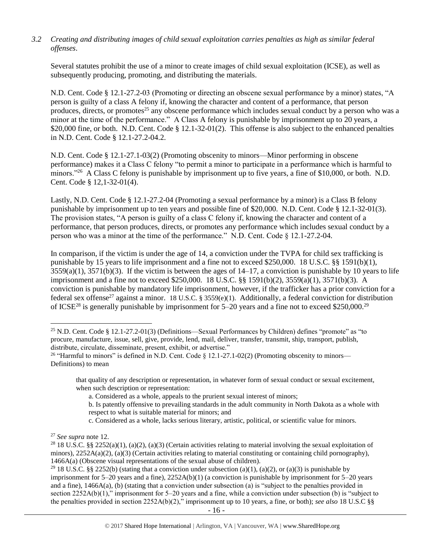## *3.2 Creating and distributing images of child sexual exploitation carries penalties as high as similar federal offenses*.

Several statutes prohibit the use of a minor to create images of child sexual exploitation (ICSE), as well as subsequently producing, promoting, and distributing the materials.

N.D. Cent. Code § 12.1-27.2-03 (Promoting or directing an obscene sexual performance by a minor) states, "A person is guilty of a class A felony if, knowing the character and content of a performance, that person produces, directs, or promotes<sup>25</sup> any obscene performance which includes sexual conduct by a person who was a minor at the time of the performance." A Class A felony is punishable by imprisonment up to 20 years, a \$20,000 fine, or both. N.D. Cent. Code § 12.1-32-01(2). This offense is also subject to the enhanced penalties in N.D. Cent. Code § 12.1-27.2-04.2.

N.D. Cent. Code § 12.1-27.1-03(2) (Promoting obscenity to minors—Minor performing in obscene performance) makes it a Class C felony "to permit a minor to participate in a performance which is harmful to minors."<sup>26</sup> A Class C felony is punishable by imprisonment up to five years, a fine of \$10,000, or both. N.D. Cent. Code § 12,1-32-01(4).

Lastly, N.D. Cent. Code § 12.1-27.2-04 (Promoting a sexual performance by a minor) is a Class B felony punishable by imprisonment up to ten years and possible fine of \$20,000. N.D. Cent. Code § 12.1-32-01(3). The provision states, "A person is guilty of a class C felony if, knowing the character and content of a performance, that person produces, directs, or promotes any performance which includes sexual conduct by a person who was a minor at the time of the performance." N.D. Cent. Code § 12.1-27.2-04.

In comparison, if the victim is under the age of 14, a conviction under the TVPA for child sex trafficking is punishable by 15 years to life imprisonment and a fine not to exceed \$250,000. 18 U.S.C. §§ 1591(b)(1),  $3559(a)(1)$ ,  $3571(b)(3)$ . If the victim is between the ages of  $14-17$ , a conviction is punishable by 10 years to life imprisonment and a fine not to exceed \$250,000. 18 U.S.C. §§ 1591(b)(2), 3559(a)(1), 3571(b)(3). A conviction is punishable by mandatory life imprisonment, however, if the trafficker has a prior conviction for a federal sex offense<sup>27</sup> against a minor. 18 U.S.C. § 3559(e)(1). Additionally, a federal conviction for distribution of ICSE<sup>28</sup> is generally punishable by imprisonment for 5–20 years and a fine not to exceed \$250,000.<sup>29</sup>

<sup>25</sup> N.D. Cent. Code § 12.1-27.2-01(3) (Definitions—Sexual Performances by Children) defines "promote" as "to procure, manufacture, issue, sell, give, provide, lend, mail, deliver, transfer, transmit, ship, transport, publish, distribute, circulate, disseminate, present, exhibit, or advertise."

<sup>&</sup>lt;sup>26</sup> "Harmful to minors" is defined in N.D. Cent. Code § 12.1-27.1-02(2) (Promoting obscenity to minors— Definitions) to mean

that quality of any description or representation, in whatever form of sexual conduct or sexual excitement, when such description or representation:

a. Considered as a whole, appeals to the prurient sexual interest of minors;

b. Is patently offensive to prevailing standards in the adult community in North Dakota as a whole with respect to what is suitable material for minors; and

c. Considered as a whole, lacks serious literary, artistic, political, or scientific value for minors.

<sup>27</sup> *See supra* note [12.](#page-9-0) 

<sup>&</sup>lt;sup>28</sup> 18 U.S.C. §§ 2252(a)(1), (a)(2), (a)(3) (Certain activities relating to material involving the sexual exploitation of minors),  $2252A(a)(2)$ , (a)(3) (Certain activities relating to material constituting or containing child pornography), 1466A(a) (Obscene visual representations of the sexual abuse of children).

<sup>&</sup>lt;sup>29</sup> 18 U.S.C. §§ 2252(b) (stating that a conviction under subsection (a)(1), (a)(2), or (a)(3) is punishable by imprisonment for 5–20 years and a fine), 2252A(b)(1) (a conviction is punishable by imprisonment for 5–20 years and a fine), 1466A(a), (b) (stating that a conviction under subsection (a) is "subject to the penalties provided in section 2252A(b)(1)," imprisonment for 5–20 years and a fine, while a conviction under subsection (b) is "subject to the penalties provided in section 2252A(b)(2)," imprisonment up to 10 years, a fine, or both); *see also* 18 U.S.C §§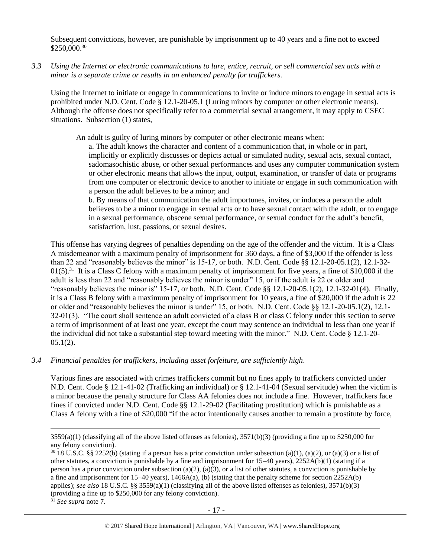Subsequent convictions, however, are punishable by imprisonment up to 40 years and a fine not to exceed  $$250,000.<sup>30</sup>$ 

*3.3 Using the Internet or electronic communications to lure, entice, recruit, or sell commercial sex acts with a minor is a separate crime or results in an enhanced penalty for traffickers.*

Using the Internet to initiate or engage in communications to invite or induce minors to engage in sexual acts is prohibited under N.D. Cent. Code § 12.1-20-05.1 (Luring minors by computer or other electronic means). Although the offense does not specifically refer to a commercial sexual arrangement, it may apply to CSEC situations. Subsection (1) states,

An adult is guilty of luring minors by computer or other electronic means when:

a. The adult knows the character and content of a communication that, in whole or in part, implicitly or explicitly discusses or depicts actual or simulated nudity, sexual acts, sexual contact, sadomasochistic abuse, or other sexual performances and uses any computer communication system or other electronic means that allows the input, output, examination, or transfer of data or programs from one computer or electronic device to another to initiate or engage in such communication with a person the adult believes to be a minor; and

b. By means of that communication the adult importunes, invites, or induces a person the adult believes to be a minor to engage in sexual acts or to have sexual contact with the adult, or to engage in a sexual performance, obscene sexual performance, or sexual conduct for the adult's benefit, satisfaction, lust, passions, or sexual desires.

This offense has varying degrees of penalties depending on the age of the offender and the victim. It is a Class A misdemeanor with a maximum penalty of imprisonment for 360 days, a fine of \$3,000 if the offender is less than 22 and "reasonably believes the minor" is 15-17, or both. N.D. Cent. Code §§ 12.1-20-05.1(2), 12.1-32-  $01(5)$ .<sup>31</sup> It is a Class C felony with a maximum penalty of imprisonment for five years, a fine of \$10,000 if the adult is less than 22 and "reasonably believes the minor is under" 15, or if the adult is 22 or older and "reasonably believes the minor is" 15-17, or both. N.D. Cent. Code §§ 12.1-20-05.1(2), 12.1-32-01(4). Finally, it is a Class B felony with a maximum penalty of imprisonment for 10 years, a fine of \$20,000 if the adult is 22 or older and "reasonably believes the minor is under" 15, or both. N.D. Cent. Code §§ 12.1-20-05.1(2), 12.1- 32-01(3). "The court shall sentence an adult convicted of a class B or class C felony under this section to serve a term of imprisonment of at least one year, except the court may sentence an individual to less than one year if the individual did not take a substantial step toward meeting with the minor." N.D. Cent. Code § 12.1-20-  $05.1(2)$ .

*3.4 Financial penalties for traffickers, including asset forfeiture, are sufficiently high*.

Various fines are associated with crimes traffickers commit but no fines apply to traffickers convicted under N.D. Cent. Code § 12.1-41-02 (Trafficking an individual) or § 12.1-41-04 (Sexual servitude) when the victim is a minor because the penalty structure for Class AA felonies does not include a fine. However, traffickers face fines if convicted under N.D. Cent. Code §§ 12.1-29-02 (Facilitating prostitution) which is punishable as a Class A felony with a fine of \$20,000 "if the actor intentionally causes another to remain a prostitute by force,

l

 $3559(a)(1)$  (classifying all of the above listed offenses as felonies),  $3571(b)(3)$  (providing a fine up to \$250,000 for any felony conviction).

 $30\,18$  U.S.C. §§ 2252(b) (stating if a person has a prior conviction under subsection (a)(1), (a)(2), or (a)(3) or a list of other statutes, a conviction is punishable by a fine and imprisonment for 15–40 years), 2252A(b)(1) (stating if a person has a prior conviction under subsection (a)(2), (a)(3), or a list of other statutes, a conviction is punishable by a fine and imprisonment for  $15-40$  years),  $1466A(a)$ , (b) (stating that the penalty scheme for section  $2252A(b)$ applies); *see also* 18 U.S.C. §§ 3559(a)(1) (classifying all of the above listed offenses as felonies), 3571(b)(3) (providing a fine up to \$250,000 for any felony conviction).

<sup>31</sup> *See supra* note [7.](#page-4-0)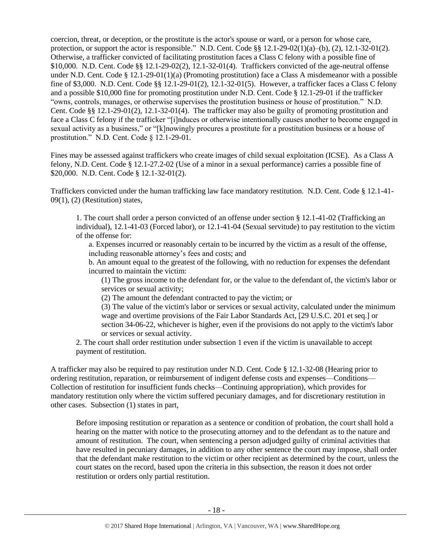coercion, threat, or deception, or the prostitute is the actor's spouse or ward, or a person for whose care, protection, or support the actor is responsible." N.D. Cent. Code §§ 12.1-29-02(1)(a)–(b), (2), 12.1-32-01(2). Otherwise, a trafficker convicted of facilitating prostitution faces a Class C felony with a possible fine of \$10,000. N.D. Cent. Code §§ 12.1-29-02(2), 12.1-32-01(4). Traffickers convicted of the age-neutral offense under N.D. Cent. Code § 12.1-29-01(1)(a) (Promoting prostitution) face a Class A misdemeanor with a possible fine of \$3,000. N.D. Cent. Code §§ 12.1-29-01(2), 12.1-32-01(5). However, a trafficker faces a Class C felony and a possible \$10,000 fine for promoting prostitution under N.D. Cent. Code § 12.1-29-01 if the trafficker "owns, controls, manages, or otherwise supervises the prostitution business or house of prostitution." N.D. Cent. Code §§ 12.1-29-01(2), 12.1-32-01(4). The trafficker may also be guilty of promoting prostitution and face a Class C felony if the trafficker "[i]nduces or otherwise intentionally causes another to become engaged in sexual activity as a business," or "[k]nowingly procures a prostitute for a prostitution business or a house of prostitution." N.D. Cent. Code § 12.1-29-01.

Fines may be assessed against traffickers who create images of child sexual exploitation (ICSE). As a Class A felony, N.D. Cent. Code § 12.1-27.2-02 (Use of a minor in a sexual performance) carries a possible fine of \$20,000. N.D. Cent. Code § 12.1-32-01(2).

Traffickers convicted under the human trafficking law face mandatory restitution. N.D. Cent. Code § 12.1-41- 09(1), (2) (Restitution) states,

1. The court shall order a person convicted of an offense under section § 12.1-41-02 (Trafficking an individual), 12.1-41-03 (Forced labor), or 12.1-41-04 (Sexual servitude) to pay restitution to the victim of the offense for:

a. Expenses incurred or reasonably certain to be incurred by the victim as a result of the offense, including reasonable attorney's fees and costs; and

b. An amount equal to the greatest of the following, with no reduction for expenses the defendant incurred to maintain the victim:

(1) The gross income to the defendant for, or the value to the defendant of, the victim's labor or services or sexual activity;

(2) The amount the defendant contracted to pay the victim; or

(3) The value of the victim's labor or services or sexual activity, calculated under the minimum wage and overtime provisions of the Fair Labor Standards Act, [29 U.S.C. 201 et seq.] or section 34-06-22, whichever is higher, even if the provisions do not apply to the victim's labor or services or sexual activity.

2. The court shall order restitution under subsection 1 even if the victim is unavailable to accept payment of restitution.

A trafficker may also be required to pay restitution under N.D. Cent. Code § 12.1-32-08 (Hearing prior to ordering restitution, reparation, or reimbursement of indigent defense costs and expenses—Conditions— Collection of restitution for insufficient funds checks—Continuing appropriation), which provides for mandatory restitution only where the victim suffered pecuniary damages, and for discretionary restitution in other cases. Subsection (1) states in part,

Before imposing restitution or reparation as a sentence or condition of probation, the court shall hold a hearing on the matter with notice to the prosecuting attorney and to the defendant as to the nature and amount of restitution. The court, when sentencing a person adjudged guilty of criminal activities that have resulted in pecuniary damages, in addition to any other sentence the court may impose, shall order that the defendant make restitution to the victim or other recipient as determined by the court, unless the court states on the record, based upon the criteria in this subsection, the reason it does not order restitution or orders only partial restitution.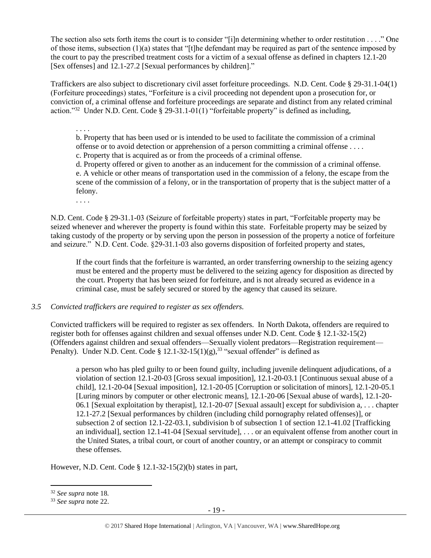The section also sets forth items the court is to consider "[i]n determining whether to order restitution . . . ." One of those items, subsection (1)(a) states that "[t]he defendant may be required as part of the sentence imposed by the court to pay the prescribed treatment costs for a victim of a sexual offense as defined in chapters 12.1-20 [Sex offenses] and 12.1-27.2 [Sexual performances by children]."

Traffickers are also subject to discretionary civil asset forfeiture proceedings. N.D. Cent. Code § 29-31.1-04(1) (Forfeiture proceedings) states, "Forfeiture is a civil proceeding not dependent upon a prosecution for, or conviction of, a criminal offense and forfeiture proceedings are separate and distinct from any related criminal action."<sup>32</sup> Under N.D. Cent. Code § 29-31.1-01(1) "forfeitable property" is defined as including,

. . . . b. Property that has been used or is intended to be used to facilitate the commission of a criminal offense or to avoid detection or apprehension of a person committing a criminal offense . . . .

c. Property that is acquired as or from the proceeds of a criminal offense.

d. Property offered or given to another as an inducement for the commission of a criminal offense. e. A vehicle or other means of transportation used in the commission of a felony, the escape from the scene of the commission of a felony, or in the transportation of property that is the subject matter of a felony.

. . . .

N.D. Cent. Code § 29-31.1-03 (Seizure of forfeitable property) states in part, "Forfeitable property may be seized whenever and wherever the property is found within this state. Forfeitable property may be seized by taking custody of the property or by serving upon the person in possession of the property a notice of forfeiture and seizure." N.D. Cent. Code. §29-31.1-03 also governs disposition of forfeited property and states,

If the court finds that the forfeiture is warranted, an order transferring ownership to the seizing agency must be entered and the property must be delivered to the seizing agency for disposition as directed by the court. Property that has been seized for forfeiture, and is not already secured as evidence in a criminal case, must be safely secured or stored by the agency that caused its seizure.

### *3.5 Convicted traffickers are required to register as sex offenders.*

Convicted traffickers will be required to register as sex offenders. In North Dakota, offenders are required to register both for offenses against children and sexual offenses under N.D. Cent. Code § 12.1-32-15(2) (Offenders against children and sexual offenders—Sexually violent predators—Registration requirement— Penalty). Under N.D. Cent. Code §  $12.1-32-15(1)(g),$ <sup>33</sup> "sexual offender" is defined as

a person who has pled guilty to or been found guilty, including juvenile delinquent adjudications, of a violation of section 12.1-20-03 [Gross sexual imposition], 12.1-20-03.1 [Continuous sexual abuse of a child], 12.1-20-04 [Sexual imposition], 12.1-20-05 [Corruption or solicitation of minors], 12.1-20-05.1 [Luring minors by computer or other electronic means], 12.1-20-06 [Sexual abuse of wards], 12.1-20- 06.1 [Sexual exploitation by therapist], 12.1-20-07 [Sexual assault] except for subdivision a, . . . chapter 12.1-27.2 [Sexual performances by children (including child pornography related offenses)], or subsection 2 of section 12.1-22-03.1, subdivision b of subsection 1 of section 12.1-41.02 [Trafficking an individual], section 12.1-41-04 [Sexual servitude], . . . or an equivalent offense from another court in the United States, a tribal court, or court of another country, or an attempt or conspiracy to commit these offenses.

However, N.D. Cent. Code § 12.1-32-15(2)(b) states in part,

 $\overline{a}$ 

<sup>32</sup> *See supra* note [18](#page-11-0)*.*

<sup>33</sup> *See supra* note [22.](#page-12-0)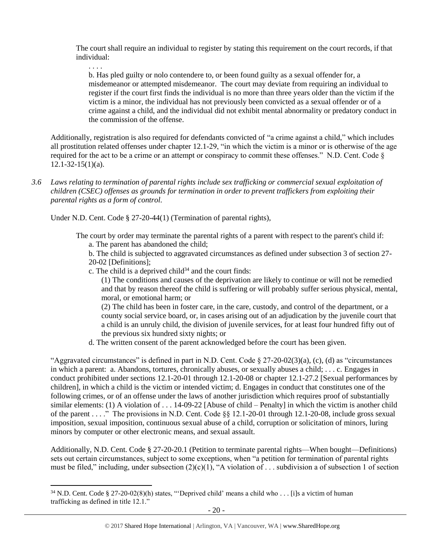The court shall require an individual to register by stating this requirement on the court records, if that individual:

. . . .

 $\overline{a}$ 

b. Has pled guilty or nolo contendere to, or been found guilty as a sexual offender for, a misdemeanor or attempted misdemeanor. The court may deviate from requiring an individual to register if the court first finds the individual is no more than three years older than the victim if the victim is a minor, the individual has not previously been convicted as a sexual offender or of a crime against a child, and the individual did not exhibit mental abnormality or predatory conduct in the commission of the offense.

Additionally, registration is also required for defendants convicted of "a crime against a child," which includes all prostitution related offenses under chapter 12.1-29, "in which the victim is a minor or is otherwise of the age required for the act to be a crime or an attempt or conspiracy to commit these offenses." N.D. Cent. Code §  $12.1 - 32 - 15(1)(a)$ .

*3.6 Laws relating to termination of parental rights include sex trafficking or commercial sexual exploitation of children (CSEC) offenses as grounds for termination in order to prevent traffickers from exploiting their parental rights as a form of control.* 

Under N.D. Cent. Code § 27-20-44(1) (Termination of parental rights),

The court by order may terminate the parental rights of a parent with respect to the parent's child if:

a. The parent has abandoned the child;

b. The child is subjected to aggravated circumstances as defined under subsection 3 of section 27- 20-02 [Definitions];

- c. The child is a deprived child<sup>34</sup> and the court finds:
	- (1) The conditions and causes of the deprivation are likely to continue or will not be remedied and that by reason thereof the child is suffering or will probably suffer serious physical, mental, moral, or emotional harm; or

(2) The child has been in foster care, in the care, custody, and control of the department, or a county social service board, or, in cases arising out of an adjudication by the juvenile court that a child is an unruly child, the division of juvenile services, for at least four hundred fifty out of the previous six hundred sixty nights; or

d. The written consent of the parent acknowledged before the court has been given.

"Aggravated circumstances" is defined in part in N.D. Cent. Code § 27-20-02(3)(a), (c), (d) as "circumstances in which a parent: a. Abandons, tortures, chronically abuses, or sexually abuses a child; . . . c. Engages in conduct prohibited under sections 12.1-20-01 through 12.1-20-08 or chapter 12.1-27.2 [Sexual performances by children], in which a child is the victim or intended victim; d. Engages in conduct that constitutes one of the following crimes, or of an offense under the laws of another jurisdiction which requires proof of substantially similar elements: (1) A violation of . . . 14-09-22 [Abuse of child – Penalty] in which the victim is another child of the parent . . . ." The provisions in N.D. Cent. Code §§ 12.1-20-01 through 12.1-20-08, include gross sexual imposition, sexual imposition, continuous sexual abuse of a child, corruption or solicitation of minors, luring minors by computer or other electronic means, and sexual assault.

Additionally, N.D. Cent. Code § 27-20-20.1 (Petition to terminate parental rights—When bought—Definitions) sets out certain circumstances, subject to some exceptions, when "a petition for termination of parental rights must be filed," including, under subsection  $(2)(c)(1)$ , "A violation of ... subdivision a of subsection 1 of section

 $34$  N.D. Cent. Code § 27-20-02(8)(h) states, "Deprived child' means a child who . . . [i]s a victim of human trafficking as defined in title 12.1."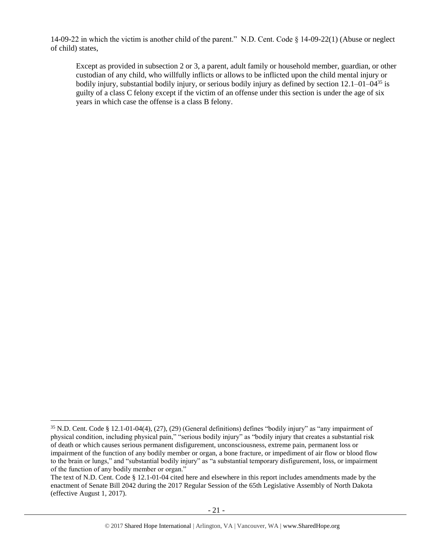14-09-22 in which the victim is another child of the parent." N.D. Cent. Code § 14-09-22(1) (Abuse or neglect of child) states,

Except as provided in subsection 2 or 3, a parent, adult family or household member, guardian, or other custodian of any child, who willfully inflicts or allows to be inflicted upon the child mental injury or bodily injury, substantial bodily injury, or serious bodily injury as defined by section 12.1–01–04<sup>35</sup> is guilty of a class C felony except if the victim of an offense under this section is under the age of six years in which case the offense is a class B felony.

 $\overline{\phantom{a}}$ <sup>35</sup> N.D. Cent. Code § 12.1-01-04(4), (27), (29) (General definitions) defines "bodily injury" as "any impairment of physical condition, including physical pain," "serious bodily injury" as "bodily injury that creates a substantial risk of death or which causes serious permanent disfigurement, unconsciousness, extreme pain, permanent loss or impairment of the function of any bodily member or organ, a bone fracture, or impediment of air flow or blood flow to the brain or lungs," and "substantial bodily injury" as "a substantial temporary disfigurement, loss, or impairment of the function of any bodily member or organ."

The text of N.D. Cent. Code § 12.1-01-04 cited here and elsewhere in this report includes amendments made by the enactment of Senate Bill 2042 during the 2017 Regular Session of the 65th Legislative Assembly of North Dakota (effective August 1, 2017).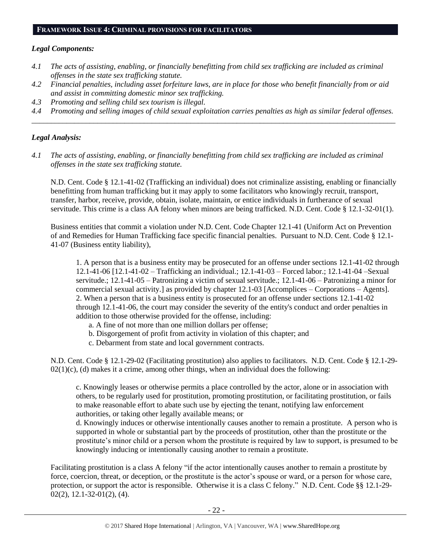# **FRAMEWORK ISSUE 4: CRIMINAL PROVISIONS FOR FACILITATORS**

## *Legal Components:*

- *4.1 The acts of assisting, enabling, or financially benefitting from child sex trafficking are included as criminal offenses in the state sex trafficking statute.*
- *4.2 Financial penalties, including asset forfeiture laws, are in place for those who benefit financially from or aid and assist in committing domestic minor sex trafficking.*
- *4.3 Promoting and selling child sex tourism is illegal.*
- *4.4 Promoting and selling images of child sexual exploitation carries penalties as high as similar federal offenses. \_\_\_\_\_\_\_\_\_\_\_\_\_\_\_\_\_\_\_\_\_\_\_\_\_\_\_\_\_\_\_\_\_\_\_\_\_\_\_\_\_\_\_\_\_\_\_\_\_\_\_\_\_\_\_\_\_\_\_\_\_\_\_\_\_\_\_\_\_\_\_\_\_\_\_\_\_\_\_\_\_\_\_\_\_\_\_\_\_\_\_\_\_\_*

# *Legal Analysis:*

*4.1 The acts of assisting, enabling, or financially benefitting from child sex trafficking are included as criminal offenses in the state sex trafficking statute.*

N.D. Cent. Code § 12.1-41-02 (Trafficking an individual) does not criminalize assisting, enabling or financially benefitting from human trafficking but it may apply to some facilitators who knowingly recruit, transport, transfer, harbor, receive, provide, obtain, isolate, maintain, or entice individuals in furtherance of sexual servitude. This crime is a class AA felony when minors are being trafficked. N.D. Cent. Code § 12.1-32-01(1).

Business entities that commit a violation under N.D. Cent. Code Chapter 12.1-41 (Uniform Act on Prevention of and Remedies for Human Trafficking face specific financial penalties. Pursuant to N.D. Cent. Code § 12.1- 41-07 (Business entity liability),

1. A person that is a business entity may be prosecuted for an offense under sections 12.1-41-02 through 12.1-41-06 [12.1-41-02 – Trafficking an individual.; 12.1-41-03 – Forced labor.; 12.1-41-04 –Sexual servitude.; 12.1-41-05 – Patronizing a victim of sexual servitude.; 12.1-41-06 – Patronizing a minor for commercial sexual activity.] as provided by chapter 12.1-03 [Accomplices – Corporations – Agents]. 2. When a person that is a business entity is prosecuted for an offense under sections 12.1-41-02 through 12.1-41-06, the court may consider the severity of the entity's conduct and order penalties in addition to those otherwise provided for the offense, including:

- a. A fine of not more than one million dollars per offense;
- b. Disgorgement of profit from activity in violation of this chapter; and
- c. Debarment from state and local government contracts.

N.D. Cent. Code § 12.1-29-02 (Facilitating prostitution) also applies to facilitators. N.D. Cent. Code § 12.1-29-  $02(1)(c)$ , (d) makes it a crime, among other things, when an individual does the following:

c. Knowingly leases or otherwise permits a place controlled by the actor, alone or in association with others, to be regularly used for prostitution, promoting prostitution, or facilitating prostitution, or fails to make reasonable effort to abate such use by ejecting the tenant, notifying law enforcement authorities, or taking other legally available means; or

d. Knowingly induces or otherwise intentionally causes another to remain a prostitute. A person who is supported in whole or substantial part by the proceeds of prostitution, other than the prostitute or the prostitute's minor child or a person whom the prostitute is required by law to support, is presumed to be knowingly inducing or intentionally causing another to remain a prostitute.

Facilitating prostitution is a class A felony "if the actor intentionally causes another to remain a prostitute by force, coercion, threat, or deception, or the prostitute is the actor's spouse or ward, or a person for whose care, protection, or support the actor is responsible. Otherwise it is a class C felony." N.D. Cent. Code §§ 12.1-29-  $02(2)$ , 12.1-32-01(2), (4).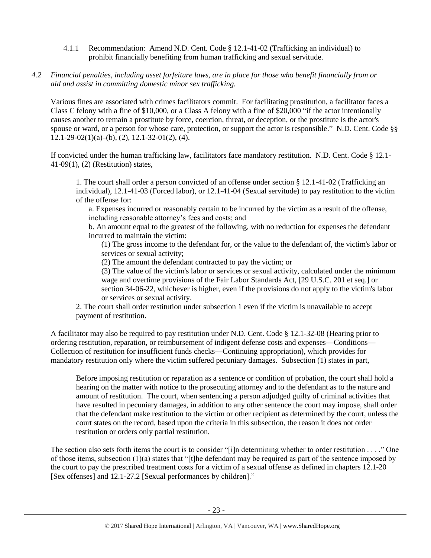- 4.1.1 Recommendation: Amend N.D. Cent. Code § 12.1-41-02 (Trafficking an individual) to prohibit financially benefiting from human trafficking and sexual servitude.
- *4.2 Financial penalties, including asset forfeiture laws, are in place for those who benefit financially from or aid and assist in committing domestic minor sex trafficking.*

Various fines are associated with crimes facilitators commit. For facilitating prostitution, a facilitator faces a Class C felony with a fine of \$10,000, or a Class A felony with a fine of \$20,000 "if the actor intentionally causes another to remain a prostitute by force, coercion, threat, or deception, or the prostitute is the actor's spouse or ward, or a person for whose care, protection, or support the actor is responsible." N.D. Cent. Code §§  $12.1-29-02(1)(a)$ –(b), (2), 12.1-32-01(2), (4).

If convicted under the human trafficking law, facilitators face mandatory restitution. N.D. Cent. Code § 12.1- 41-09(1), (2) (Restitution) states,

1. The court shall order a person convicted of an offense under section § 12.1-41-02 (Trafficking an individual), 12.1-41-03 (Forced labor), or 12.1-41-04 (Sexual servitude) to pay restitution to the victim of the offense for:

a. Expenses incurred or reasonably certain to be incurred by the victim as a result of the offense, including reasonable attorney's fees and costs; and

b. An amount equal to the greatest of the following, with no reduction for expenses the defendant incurred to maintain the victim:

(1) The gross income to the defendant for, or the value to the defendant of, the victim's labor or services or sexual activity;

(2) The amount the defendant contracted to pay the victim; or

(3) The value of the victim's labor or services or sexual activity, calculated under the minimum wage and overtime provisions of the Fair Labor Standards Act, [29 U.S.C. 201 et seq.] or section 34-06-22, whichever is higher, even if the provisions do not apply to the victim's labor or services or sexual activity.

2. The court shall order restitution under subsection 1 even if the victim is unavailable to accept payment of restitution.

A facilitator may also be required to pay restitution under N.D. Cent. Code § 12.1-32-08 (Hearing prior to ordering restitution, reparation, or reimbursement of indigent defense costs and expenses—Conditions— Collection of restitution for insufficient funds checks—Continuing appropriation), which provides for mandatory restitution only where the victim suffered pecuniary damages. Subsection (1) states in part,

Before imposing restitution or reparation as a sentence or condition of probation, the court shall hold a hearing on the matter with notice to the prosecuting attorney and to the defendant as to the nature and amount of restitution. The court, when sentencing a person adjudged guilty of criminal activities that have resulted in pecuniary damages, in addition to any other sentence the court may impose, shall order that the defendant make restitution to the victim or other recipient as determined by the court, unless the court states on the record, based upon the criteria in this subsection, the reason it does not order restitution or orders only partial restitution.

The section also sets forth items the court is to consider "[i]n determining whether to order restitution . . . ." One of those items, subsection  $(1)(a)$  states that "[t]he defendant may be required as part of the sentence imposed by the court to pay the prescribed treatment costs for a victim of a sexual offense as defined in chapters 12.1-20 [Sex offenses] and 12.1-27.2 [Sexual performances by children]."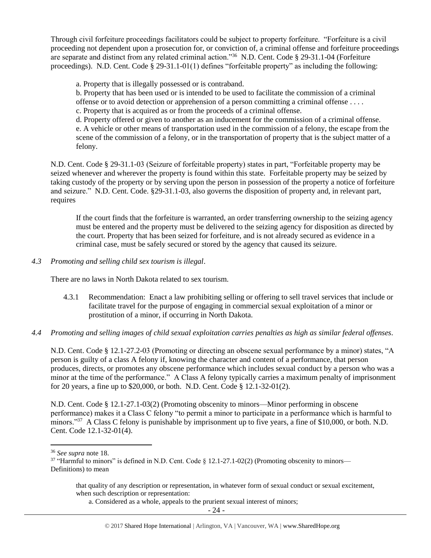Through civil forfeiture proceedings facilitators could be subject to property forfeiture. "Forfeiture is a civil proceeding not dependent upon a prosecution for, or conviction of, a criminal offense and forfeiture proceedings are separate and distinct from any related criminal action."<sup>36</sup> N.D. Cent. Code § 29-31.1-04 (Forfeiture proceedings). N.D. Cent. Code § 29-31.1-01(1) defines "forfeitable property" as including the following:

a. Property that is illegally possessed or is contraband.

b. Property that has been used or is intended to be used to facilitate the commission of a criminal offense or to avoid detection or apprehension of a person committing a criminal offense . . . . c. Property that is acquired as or from the proceeds of a criminal offense.

d. Property offered or given to another as an inducement for the commission of a criminal offense. e. A vehicle or other means of transportation used in the commission of a felony, the escape from the scene of the commission of a felony, or in the transportation of property that is the subject matter of a felony.

N.D. Cent. Code § 29-31.1-03 (Seizure of forfeitable property) states in part, "Forfeitable property may be seized whenever and wherever the property is found within this state. Forfeitable property may be seized by taking custody of the property or by serving upon the person in possession of the property a notice of forfeiture and seizure." N.D. Cent. Code. §29-31.1-03, also governs the disposition of property and, in relevant part, requires

If the court finds that the forfeiture is warranted, an order transferring ownership to the seizing agency must be entered and the property must be delivered to the seizing agency for disposition as directed by the court. Property that has been seized for forfeiture, and is not already secured as evidence in a criminal case, must be safely secured or stored by the agency that caused its seizure.

*4.3 Promoting and selling child sex tourism is illegal*.

There are no laws in North Dakota related to sex tourism.

- 4.3.1 Recommendation: Enact a law prohibiting selling or offering to sell travel services that include or facilitate travel for the purpose of engaging in commercial sexual exploitation of a minor or prostitution of a minor, if occurring in North Dakota.
- *4.4 Promoting and selling images of child sexual exploitation carries penalties as high as similar federal offenses.*

N.D. Cent. Code § 12.1-27.2-03 (Promoting or directing an obscene sexual performance by a minor) states, "A person is guilty of a class A felony if, knowing the character and content of a performance, that person produces, directs, or promotes any obscene performance which includes sexual conduct by a person who was a minor at the time of the performance." A Class A felony typically carries a maximum penalty of imprisonment for 20 years, a fine up to \$20,000, or both. N.D. Cent. Code § 12.1-32-01(2).

N.D. Cent. Code § 12.1-27.1-03(2) (Promoting obscenity to minors—Minor performing in obscene performance) makes it a Class C felony "to permit a minor to participate in a performance which is harmful to minors."<sup>37</sup> A Class C felony is punishable by imprisonment up to five years, a fine of \$10,000, or both. N.D. Cent. Code 12.1-32-01(4).

<sup>36</sup> *See supra* note [18.](#page-11-0)

<sup>&</sup>lt;sup>37</sup> "Harmful to minors" is defined in N.D. Cent. Code § 12.1-27.1-02(2) (Promoting obscenity to minors— Definitions) to mean

that quality of any description or representation, in whatever form of sexual conduct or sexual excitement, when such description or representation:

a. Considered as a whole, appeals to the prurient sexual interest of minors;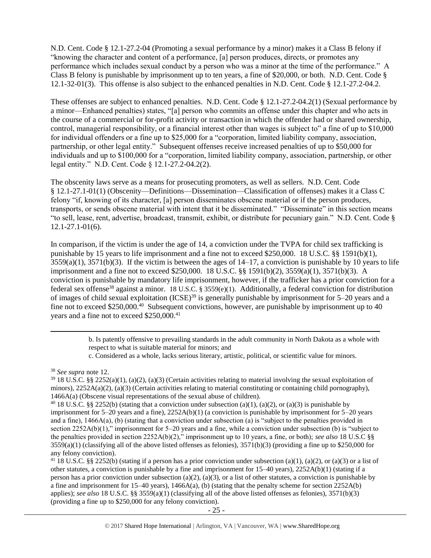N.D. Cent. Code § 12.1-27.2-04 (Promoting a sexual performance by a minor) makes it a Class B felony if "knowing the character and content of a performance, [a] person produces, directs, or promotes any performance which includes sexual conduct by a person who was a minor at the time of the performance." A Class B felony is punishable by imprisonment up to ten years, a fine of \$20,000, or both. N.D. Cent. Code § 12.1-32-01(3). This offense is also subject to the enhanced penalties in N.D. Cent. Code § 12.1-27.2-04.2.

These offenses are subject to enhanced penalties. N.D. Cent. Code § 12.1-27.2-04.2(1) (Sexual performance by a minor—Enhanced penalties) states, "[a] person who commits an offense under this chapter and who acts in the course of a commercial or for-profit activity or transaction in which the offender had or shared ownership, control, managerial responsibility, or a financial interest other than wages is subject to" a fine of up to \$10,000 for individual offenders or a fine up to \$25,000 for a "corporation, limited liability company, association, partnership, or other legal entity." Subsequent offenses receive increased penalties of up to \$50,000 for individuals and up to \$100,000 for a "corporation, limited liability company, association, partnership, or other legal entity." N.D. Cent. Code § 12.1-27.2-04.2(2).

The obscenity laws serve as a means for prosecuting promoters, as well as sellers. N.D. Cent. Code § 12.1-27.1-01(1) (Obscenity—Definitions—Dissemination—Classification of offenses) makes it a Class C felony "if, knowing of its character, [a] person disseminates obscene material or if the person produces, transports, or sends obscene material with intent that it be disseminated." "Disseminate" in this section means "to sell, lease, rent, advertise, broadcast, transmit, exhibit, or distribute for pecuniary gain." N.D. Cent. Code § 12.1-27.1-01(6).

In comparison, if the victim is under the age of 14, a conviction under the TVPA for child sex trafficking is punishable by 15 years to life imprisonment and a fine not to exceed \$250,000. 18 U.S.C. §§ 1591(b)(1),  $3559(a)(1)$ ,  $3571(b)(3)$ . If the victim is between the ages of  $14-17$ , a conviction is punishable by 10 years to life imprisonment and a fine not to exceed \$250,000. 18 U.S.C. §§ 1591(b)(2), 3559(a)(1), 3571(b)(3). A conviction is punishable by mandatory life imprisonment, however, if the trafficker has a prior conviction for a federal sex offense<sup>38</sup> against a minor. 18 U.S.C. § 3559(e)(1). Additionally, a federal conviction for distribution of images of child sexual exploitation (ICSE)<sup>39</sup> is generally punishable by imprisonment for 5–20 years and a fine not to exceed \$250,000.<sup>40</sup> Subsequent convictions, however, are punishable by imprisonment up to 40 years and a fine not to exceed \$250,000.<sup>41</sup>

> b. Is patently offensive to prevailing standards in the adult community in North Dakota as a whole with respect to what is suitable material for minors; and

c. Considered as a whole, lacks serious literary, artistic, political, or scientific value for minors.

l

<sup>41</sup> 18 U.S.C. §§ 2252(b) (stating if a person has a prior conviction under subsection (a)(1), (a)(2), or (a)(3) or a list of other statutes, a conviction is punishable by a fine and imprisonment for 15–40 years), 2252A(b)(1) (stating if a person has a prior conviction under subsection (a)(2), (a)(3), or a list of other statutes, a conviction is punishable by a fine and imprisonment for  $15-40$  years),  $1466A(a)$ , (b) (stating that the penalty scheme for section  $2252A(b)$ applies); *see also* 18 U.S.C. §§ 3559(a)(1) (classifying all of the above listed offenses as felonies), 3571(b)(3) (providing a fine up to \$250,000 for any felony conviction).

<sup>38</sup> *See supra* note [12.](#page-9-0) 

 $39$  18 U.S.C. §§ 2252(a)(1), (a)(2), (a)(3) (Certain activities relating to material involving the sexual exploitation of minors),  $2252A(a)(2)$ ,  $(a)(3)$  (Certain activities relating to material constituting or containing child pornography), 1466A(a) (Obscene visual representations of the sexual abuse of children).

<sup>&</sup>lt;sup>40</sup> 18 U.S.C. §§ 2252(b) (stating that a conviction under subsection (a)(1), (a)(2), or (a)(3) is punishable by imprisonment for  $5-20$  years and a fine),  $2252A(b)(1)$  (a conviction is punishable by imprisonment for  $5-20$  years and a fine), 1466A(a), (b) (stating that a conviction under subsection (a) is "subject to the penalties provided in section 2252A(b)(1)," imprisonment for 5–20 years and a fine, while a conviction under subsection (b) is "subject to the penalties provided in section 2252A(b)(2)," imprisonment up to 10 years, a fine, or both); *see also* 18 U.S.C §§  $3559(a)(1)$  (classifying all of the above listed offenses as felonies),  $3571(b)(3)$  (providing a fine up to \$250,000 for any felony conviction).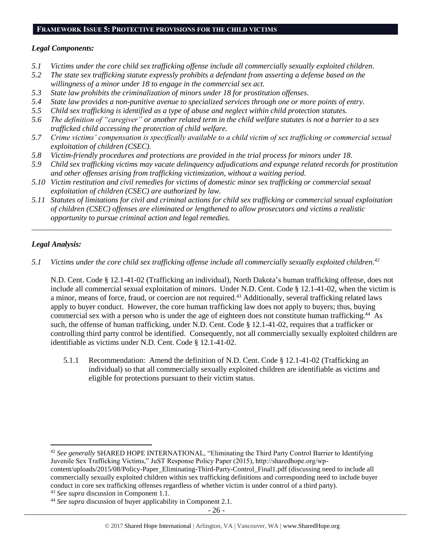#### **FRAMEWORK ISSUE 5: PROTECTIVE PROVISIONS FOR THE CHILD VICTIMS**

### *Legal Components:*

- *5.1 Victims under the core child sex trafficking offense include all commercially sexually exploited children.*
- *5.2 The state sex trafficking statute expressly prohibits a defendant from asserting a defense based on the willingness of a minor under 18 to engage in the commercial sex act.*
- *5.3 State law prohibits the criminalization of minors under 18 for prostitution offenses.*
- *5.4 State law provides a non-punitive avenue to specialized services through one or more points of entry.*
- *5.5 Child sex trafficking is identified as a type of abuse and neglect within child protection statutes.*
- *5.6 The definition of "caregiver" or another related term in the child welfare statutes is not a barrier to a sex trafficked child accessing the protection of child welfare.*
- *5.7 Crime victims' compensation is specifically available to a child victim of sex trafficking or commercial sexual exploitation of children (CSEC).*
- *5.8 Victim-friendly procedures and protections are provided in the trial process for minors under 18.*
- *5.9 Child sex trafficking victims may vacate delinquency adjudications and expunge related records for prostitution and other offenses arising from trafficking victimization, without a waiting period.*
- *5.10 Victim restitution and civil remedies for victims of domestic minor sex trafficking or commercial sexual exploitation of children (CSEC) are authorized by law.*
- *5.11 Statutes of limitations for civil and criminal actions for child sex trafficking or commercial sexual exploitation of children (CSEC) offenses are eliminated or lengthened to allow prosecutors and victims a realistic opportunity to pursue criminal action and legal remedies.*

*\_\_\_\_\_\_\_\_\_\_\_\_\_\_\_\_\_\_\_\_\_\_\_\_\_\_\_\_\_\_\_\_\_\_\_\_\_\_\_\_\_\_\_\_\_\_\_\_\_\_\_\_\_\_\_\_\_\_\_\_\_\_\_\_\_\_\_\_\_\_\_\_\_\_\_\_\_\_\_\_\_\_\_\_\_\_\_\_\_\_\_\_\_*

# *Legal Analysis:*

 $\overline{\phantom{a}}$ 

*5.1 Victims under the core child sex trafficking offense include all commercially sexually exploited children. 42*

N.D. Cent. Code § 12.1-41-02 (Trafficking an individual), North Dakota's human trafficking offense, does not include all commercial sexual exploitation of minors. Under N.D. Cent. Code § 12.1-41-02, when the victim is a minor, means of force, fraud, or coercion are not required.<sup>43</sup> Additionally, several trafficking related laws apply to buyer conduct. However, the core human trafficking law does not apply to buyers; thus, buying commercial sex with a person who is under the age of eighteen does not constitute human trafficking.<sup>44</sup> As such, the offense of human trafficking, under N.D. Cent. Code § 12.1-41-02, requires that a trafficker or controlling third party control be identified. Consequently, not all commercially sexually exploited children are identifiable as victims under N.D. Cent. Code § 12.1-41-02.

5.1.1 Recommendation: Amend the definition of N.D. Cent. Code § 12.1-41-02 (Trafficking an individual) so that all commercially sexually exploited children are identifiable as victims and eligible for protections pursuant to their victim status.

<sup>43</sup> *See supra* discussion in Component 1.1.

<sup>42</sup> *See generally* SHARED HOPE INTERNATIONAL, "Eliminating the Third Party Control Barrier to Identifying Juvenile Sex Trafficking Victims," JuST Response Policy Paper (2015), http://sharedhope.org/wpcontent/uploads/2015/08/Policy-Paper\_Eliminating-Third-Party-Control\_Final1.pdf (discussing need to include all commercially sexually exploited children within sex trafficking definitions and corresponding need to include buyer conduct in core sex trafficking offenses regardless of whether victim is under control of a third party).

<sup>44</sup> *See supra* discussion of buyer applicability in Component 2.1.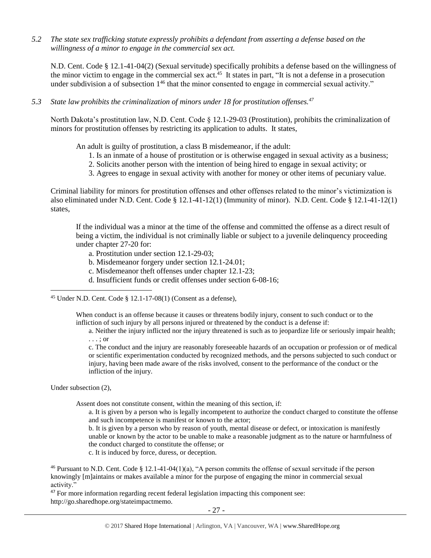*5.2 The state sex trafficking statute expressly prohibits a defendant from asserting a defense based on the willingness of a minor to engage in the commercial sex act.*

N.D. Cent. Code § 12.1-41-04(2) (Sexual servitude) specifically prohibits a defense based on the willingness of the minor victim to engage in the commercial sex act.<sup>45</sup> It states in part, "It is not a defense in a prosecution under subdivision a of subsection 1<sup>46</sup> that the minor consented to engage in commercial sexual activity."

*5.3 State law prohibits the criminalization of minors under 18 for prostitution offenses.<sup>47</sup>*

North Dakota's prostitution law, N.D. Cent. Code § 12.1-29-03 (Prostitution), prohibits the criminalization of minors for prostitution offenses by restricting its application to adults. It states,

An adult is guilty of prostitution, a class B misdemeanor, if the adult:

- 1. Is an inmate of a house of prostitution or is otherwise engaged in sexual activity as a business;
- 2. Solicits another person with the intention of being hired to engage in sexual activity; or
- 3. Agrees to engage in sexual activity with another for money or other items of pecuniary value.

Criminal liability for minors for prostitution offenses and other offenses related to the minor's victimization is also eliminated under N.D. Cent. Code § 12.1-41-12(1) (Immunity of minor). N.D. Cent. Code § 12.1-41-12(1) states,

If the individual was a minor at the time of the offense and committed the offense as a direct result of being a victim, the individual is not criminally liable or subject to a juvenile delinquency proceeding under chapter 27-20 for:

- a. Prostitution under section 12.1-29-03;
- b. Misdemeanor forgery under section 12.1-24.01;
- c. Misdemeanor theft offenses under chapter 12.1-23;
- d. Insufficient funds or credit offenses under section 6-08-16;

 $\overline{a}$ <sup>45</sup> Under N.D. Cent. Code  $\S$  12.1-17-08(1) (Consent as a defense),

> When conduct is an offense because it causes or threatens bodily injury, consent to such conduct or to the infliction of such injury by all persons injured or threatened by the conduct is a defense if:

a. Neither the injury inflicted nor the injury threatened is such as to jeopardize life or seriously impair health; . . . ; or

c. The conduct and the injury are reasonably foreseeable hazards of an occupation or profession or of medical or scientific experimentation conducted by recognized methods, and the persons subjected to such conduct or injury, having been made aware of the risks involved, consent to the performance of the conduct or the infliction of the injury.

Under subsection (2),

Assent does not constitute consent, within the meaning of this section, if:

- a. It is given by a person who is legally incompetent to authorize the conduct charged to constitute the offense and such incompetence is manifest or known to the actor;
- b. It is given by a person who by reason of youth, mental disease or defect, or intoxication is manifestly unable or known by the actor to be unable to make a reasonable judgment as to the nature or harmfulness of the conduct charged to constitute the offense; or
- c. It is induced by force, duress, or deception.

<sup>46</sup> Pursuant to N.D. Cent. Code  $\S 12.1-41-04(1)(a)$ , "A person commits the offense of sexual servitude if the person knowingly [m]aintains or makes available a minor for the purpose of engaging the minor in commercial sexual activity."

<sup>47</sup> For more information regarding recent federal legislation impacting this component see: http://go.sharedhope.org/stateimpactmemo.

- 27 -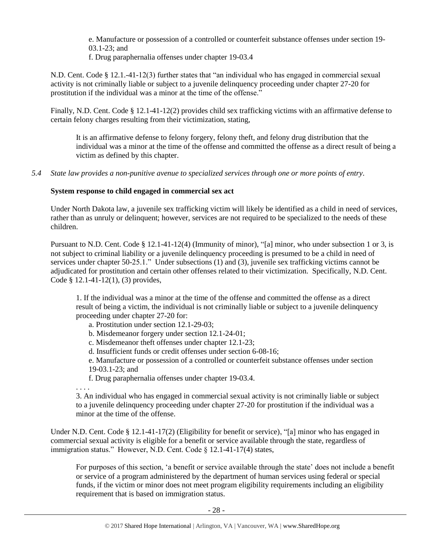e. Manufacture or possession of a controlled or counterfeit substance offenses under section 19- 03.1-23; and

f. Drug paraphernalia offenses under chapter 19-03.4

N.D. Cent. Code § 12.1.-41-12(3) further states that "an individual who has engaged in commercial sexual activity is not criminally liable or subject to a juvenile delinquency proceeding under chapter 27-20 for prostitution if the individual was a minor at the time of the offense."

Finally, N.D. Cent. Code § 12.1-41-12(2) provides child sex trafficking victims with an affirmative defense to certain felony charges resulting from their victimization, stating,

It is an affirmative defense to felony forgery, felony theft, and felony drug distribution that the individual was a minor at the time of the offense and committed the offense as a direct result of being a victim as defined by this chapter.

*5.4 State law provides a non-punitive avenue to specialized services through one or more points of entry.*

# **System response to child engaged in commercial sex act**

Under North Dakota law, a juvenile sex trafficking victim will likely be identified as a child in need of services, rather than as unruly or delinquent; however, services are not required to be specialized to the needs of these children.

Pursuant to N.D. Cent. Code § 12.1-41-12(4) (Immunity of minor), "[a] minor, who under subsection 1 or 3, is not subject to criminal liability or a juvenile delinquency proceeding is presumed to be a child in need of services under chapter 50-25.1." Under subsections (1) and (3), juvenile sex trafficking victims cannot be adjudicated for prostitution and certain other offenses related to their victimization. Specifically, N.D. Cent. Code § 12.1-41-12(1), (3) provides,

1. If the individual was a minor at the time of the offense and committed the offense as a direct result of being a victim, the individual is not criminally liable or subject to a juvenile delinquency proceeding under chapter 27-20 for:

a. Prostitution under section 12.1-29-03;

- b. Misdemeanor forgery under section 12.1-24-01;
- c. Misdemeanor theft offenses under chapter 12.1-23;
- d. Insufficient funds or credit offenses under section 6-08-16;

e. Manufacture or possession of a controlled or counterfeit substance offenses under section 19-03.1-23; and

f. Drug paraphernalia offenses under chapter 19-03.4.

. . . . 3. An individual who has engaged in commercial sexual activity is not criminally liable or subject to a juvenile delinquency proceeding under chapter 27-20 for prostitution if the individual was a minor at the time of the offense.

Under N.D. Cent. Code § 12.1-41-17(2) (Eligibility for benefit or service), "[a] minor who has engaged in commercial sexual activity is eligible for a benefit or service available through the state, regardless of immigration status." However, N.D. Cent. Code § 12.1-41-17(4) states,

For purposes of this section, 'a benefit or service available through the state' does not include a benefit or service of a program administered by the department of human services using federal or special funds, if the victim or minor does not meet program eligibility requirements including an eligibility requirement that is based on immigration status.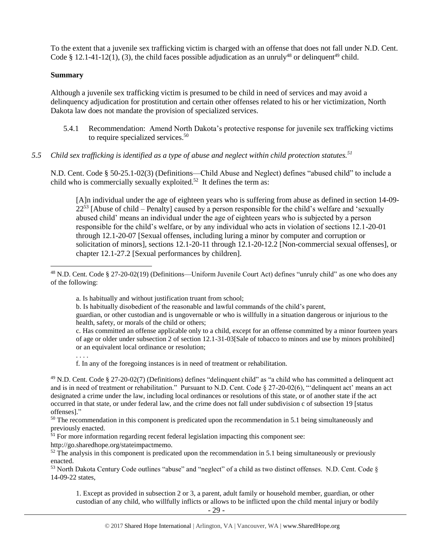To the extent that a juvenile sex trafficking victim is charged with an offense that does not fall under N.D. Cent. Code § 12.1-41-12(1), (3), the child faces possible adjudication as an unruly<sup>48</sup> or delinquent<sup>49</sup> child.

#### **Summary**

Although a juvenile sex trafficking victim is presumed to be child in need of services and may avoid a delinquency adjudication for prostitution and certain other offenses related to his or her victimization, North Dakota law does not mandate the provision of specialized services.

- 5.4.1 Recommendation: Amend North Dakota's protective response for juvenile sex trafficking victims to require specialized services.<sup>50</sup>
- *5.5 Child sex trafficking is identified as a type of abuse and neglect within child protection statutes.<sup>51</sup>*

N.D. Cent. Code § 50-25.1-02(3) (Definitions—Child Abuse and Neglect) defines "abused child" to include a child who is commercially sexually exploited.<sup>52</sup> It defines the term as:

[A]n individual under the age of eighteen years who is suffering from abuse as defined in section 14-09-  $22<sup>53</sup>$  [Abuse of child – Penalty] caused by a person responsible for the child's welfare and 'sexually abused child' means an individual under the age of eighteen years who is subjected by a person responsible for the child's welfare, or by any individual who acts in violation of sections 12.1-20-01 through 12.1-20-07 [Sexual offenses, including luring a minor by computer and corruption or solicitation of minors], sections 12.1-20-11 through 12.1-20-12.2 [Non-commercial sexual offenses], or chapter 12.1-27.2 [Sexual performances by children].

a. Is habitually and without justification truant from school;

b. Is habitually disobedient of the reasonable and lawful commands of the child's parent,

guardian, or other custodian and is ungovernable or who is willfully in a situation dangerous or injurious to the health, safety, or morals of the child or others;

c. Has committed an offense applicable only to a child, except for an offense committed by a minor fourteen years of age or older under subsection 2 of section 12.1-31-03[Sale of tobacco to minors and use by minors prohibited] or an equivalent local ordinance or resolution;

. . . .

f. In any of the foregoing instances is in need of treatment or rehabilitation.

<sup>49</sup> N.D. Cent. Code § 27-20-02(7) (Definitions) defines "delinquent child" as "a child who has committed a delinquent act and is in need of treatment or rehabilitation." Pursuant to N.D. Cent. Code § 27-20-02(6), "'delinquent act' means an act designated a crime under the law, including local ordinances or resolutions of this state, or of another state if the act occurred in that state, or under federal law, and the crime does not fall under subdivision c of subsection 19 [status offenses]."

<sup>50</sup> The recommendation in this component is predicated upon the recommendation in 5.1 being simultaneously and previously enacted.

 $51$  For more information regarding recent federal legislation impacting this component see:

http://go.sharedhope.org/stateimpactmemo.

 $52$  The analysis in this component is predicated upon the recommendation in 5.1 being simultaneously or previously enacted.

<sup>53</sup> North Dakota Century Code outlines "abuse" and "neglect" of a child as two distinct offenses. N.D. Cent. Code § 14-09-22 states,

1. Except as provided in subsection 2 or 3, a parent, adult family or household member, guardian, or other custodian of any child, who willfully inflicts or allows to be inflicted upon the child mental injury or bodily

 $\overline{a}$  $^{48}$  N.D. Cent. Code § 27-20-02(19) (Definitions—Uniform Juvenile Court Act) defines "unruly child" as one who does any of the following: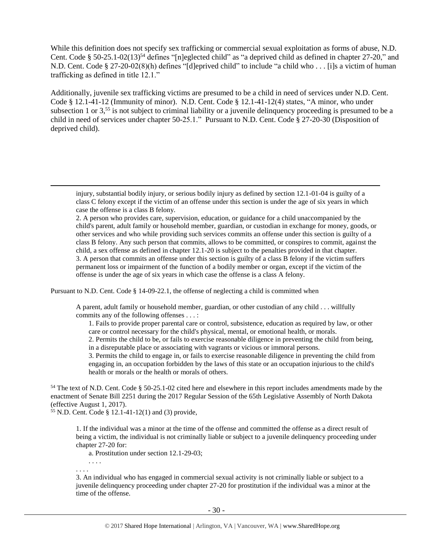<span id="page-29-0"></span>While this definition does not specify sex trafficking or commercial sexual exploitation as forms of abuse, N.D. Cent. Code § 50-25.1-02(13)<sup>54</sup> defines "[n]eglected child" as "a deprived child as defined in chapter 27-20," and N.D. Cent. Code § 27-20-02(8)(h) defines "[d]eprived child" to include "a child who . . . [i]s a victim of human trafficking as defined in title 12.1."

Additionally, juvenile sex trafficking victims are presumed to be a child in need of services under N.D. Cent. Code § 12.1-41-12 (Immunity of minor). N.D. Cent. Code § 12.1-41-12(4) states, "A minor, who under subsection 1 or  $3<sub>1</sub>$ ,<sup>55</sup> is not subject to criminal liability or a juvenile delinquency proceeding is presumed to be a child in need of services under chapter 50-25.1." Pursuant to N.D. Cent. Code § 27-20-30 (Disposition of deprived child).

2. A person who provides care, supervision, education, or guidance for a child unaccompanied by the child's parent, adult family or household member, guardian, or custodian in exchange for money, goods, or other services and who while providing such services commits an offense under this section is guilty of a class B felony. Any such person that commits, allows to be committed, or conspires to commit, against the child, a sex offense as defined in chapter 12.1-20 is subject to the penalties provided in that chapter. 3. A person that commits an offense under this section is guilty of a class B felony if the victim suffers permanent loss or impairment of the function of a bodily member or organ, except if the victim of the offense is under the age of six years in which case the offense is a class A felony.

Pursuant to N.D. Cent. Code § 14-09-22.1, the offense of neglecting a child is committed when

A parent, adult family or household member, guardian, or other custodian of any child . . . willfully commits any of the following offenses . . . :

1. Fails to provide proper parental care or control, subsistence, education as required by law, or other care or control necessary for the child's physical, mental, or emotional health, or morals.

2. Permits the child to be, or fails to exercise reasonable diligence in preventing the child from being, in a disreputable place or associating with vagrants or vicious or immoral persons.

3. Permits the child to engage in, or fails to exercise reasonable diligence in preventing the child from engaging in, an occupation forbidden by the laws of this state or an occupation injurious to the child's health or morals or the health or morals of others.

<sup>54</sup> The text of N.D. Cent. Code § 50-25.1-02 cited here and elsewhere in this report includes amendments made by the enactment of Senate Bill 2251 during the 2017 Regular Session of the 65th Legislative Assembly of North Dakota (effective August 1, 2017).

 $55$  N.D. Cent. Code § 12.1-41-12(1) and (3) provide,

1. If the individual was a minor at the time of the offense and committed the offense as a direct result of being a victim, the individual is not criminally liable or subject to a juvenile delinquency proceeding under chapter 27-20 for:

a. Prostitution under section 12.1-29-03;

. . . .

. . . .

l

3. An individual who has engaged in commercial sexual activity is not criminally liable or subject to a juvenile delinquency proceeding under chapter 27-20 for prostitution if the individual was a minor at the time of the offense.

injury, substantial bodily injury, or serious bodily injury as defined by section 12.1-01-04 is guilty of a class C felony except if the victim of an offense under this section is under the age of six years in which case the offense is a class B felony.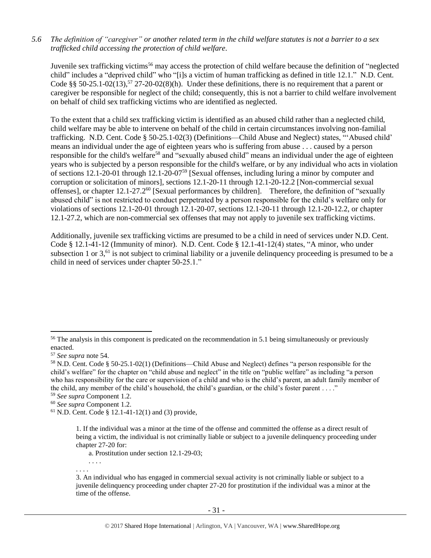#### *5.6 The definition of "caregiver" or another related term in the child welfare statutes is not a barrier to a sex trafficked child accessing the protection of child welfare.*

Juvenile sex trafficking victims<sup>56</sup> may access the protection of child welfare because the definition of "neglected child" includes a "deprived child" who "[i]s a victim of human trafficking as defined in title 12.1." N.D. Cent. Code §§ 50-25.1-02(13),<sup>57</sup> 27-20-02(8)(h). Under these definitions, there is no requirement that a parent or caregiver be responsible for neglect of the child; consequently, this is not a barrier to child welfare involvement on behalf of child sex trafficking victims who are identified as neglected.

To the extent that a child sex trafficking victim is identified as an abused child rather than a neglected child, child welfare may be able to intervene on behalf of the child in certain circumstances involving non-familial trafficking. N.D. Cent. Code § 50-25.1-02(3) (Definitions—Child Abuse and Neglect) states, "'Abused child' means an individual under the age of eighteen years who is suffering from abuse . . . caused by a person responsible for the child's welfare<sup>58</sup> and "sexually abused child" means an individual under the age of eighteen years who is subjected by a person responsible for the child's welfare, or by any individual who acts in violation of sections 12.1-20-01 through 12.1-20-07<sup>59</sup> [Sexual offenses, including luring a minor by computer and corruption or solicitation of minors], sections 12.1-20-11 through 12.1-20-12.2 [Non-commercial sexual offenses], or chapter 12.1-27.2<sup>60</sup> [Sexual performances by children]. Therefore, the definition of "sexually abused child" is not restricted to conduct perpetrated by a person responsible for the child's welfare only for violations of sections 12.1-20-01 through 12.1-20-07, sections 12.1-20-11 through 12.1-20-12.2, or chapter 12.1-27.2, which are non-commercial sex offenses that may not apply to juvenile sex trafficking victims.

Additionally, juvenile sex trafficking victims are presumed to be a child in need of services under N.D. Cent. Code § 12.1-41-12 (Immunity of minor). N.D. Cent. Code § 12.1-41-12(4) states, "A minor, who under subsection 1 or  $3<sub>1</sub><sup>61</sup>$  is not subject to criminal liability or a juvenile delinquency proceeding is presumed to be a child in need of services under chapter 50-25.1."

l

. . . .

a. Prostitution under section 12.1-29-03;

. . . .

<sup>&</sup>lt;sup>56</sup> The analysis in this component is predicated on the recommendation in 5.1 being simultaneously or previously enacted.

<sup>57</sup> *See supra* note [54.](#page-29-0)

<sup>58</sup> N.D. Cent. Code § 50-25.1-02(1) (Definitions—Child Abuse and Neglect) defines "a person responsible for the child's welfare" for the chapter on "child abuse and neglect" in the title on "public welfare" as including "a person who has responsibility for the care or supervision of a child and who is the child's parent, an adult family member of the child, any member of the child's household, the child's guardian, or the child's foster parent . . . ."

<sup>59</sup> *See supra* Component 1.2.

<sup>60</sup> *See supra* Component 1.2.

 $61$  N.D. Cent. Code § 12.1-41-12(1) and (3) provide,

<sup>1.</sup> If the individual was a minor at the time of the offense and committed the offense as a direct result of being a victim, the individual is not criminally liable or subject to a juvenile delinquency proceeding under chapter 27-20 for:

<sup>3.</sup> An individual who has engaged in commercial sexual activity is not criminally liable or subject to a juvenile delinquency proceeding under chapter 27-20 for prostitution if the individual was a minor at the time of the offense.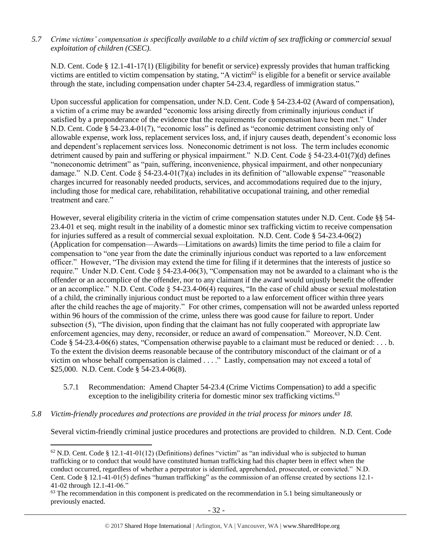# *5.7 Crime victims' compensation is specifically available to a child victim of sex trafficking or commercial sexual exploitation of children (CSEC).*

N.D. Cent. Code § 12.1-41-17(1) (Eligibility for benefit or service) expressly provides that human trafficking victims are entitled to victim compensation by stating, "A victim<sup>62</sup> is eligible for a benefit or service available through the state, including compensation under chapter 54-23.4, regardless of immigration status."

Upon successful application for compensation, under N.D. Cent. Code § 54-23.4-02 (Award of compensation), a victim of a crime may be awarded "economic loss arising directly from criminally injurious conduct if satisfied by a preponderance of the evidence that the requirements for compensation have been met." Under N.D. Cent. Code § 54-23.4-01(7), "economic loss" is defined as "economic detriment consisting only of allowable expense, work loss, replacement services loss, and, if injury causes death, dependent's economic loss and dependent's replacement services loss. Noneconomic detriment is not loss. The term includes economic detriment caused by pain and suffering or physical impairment." N.D. Cent. Code § 54-23.4-01(7)(d) defines "noneconomic detriment" as "pain, suffering, inconvenience, physical impairment, and other nonpecuniary damage." N.D. Cent. Code  $\S 54-23.4-01(7)(a)$  includes in its definition of "allowable expense" "reasonable" charges incurred for reasonably needed products, services, and accommodations required due to the injury, including those for medical care, rehabilitation, rehabilitative occupational training, and other remedial treatment and care."

However, several eligibility criteria in the victim of crime compensation statutes under N.D. Cent. Code §§ 54- 23.4-01 et seq. might result in the inability of a domestic minor sex trafficking victim to receive compensation for injuries suffered as a result of commercial sexual exploitation. N.D. Cent. Code § 54-23.4-06(2) (Application for compensation—Awards—Limitations on awards) limits the time period to file a claim for compensation to "one year from the date the criminally injurious conduct was reported to a law enforcement officer." However, "The division may extend the time for filing if it determines that the interests of justice so require." Under N.D. Cent. Code § 54-23.4-06(3), "Compensation may not be awarded to a claimant who is the offender or an accomplice of the offender, nor to any claimant if the award would unjustly benefit the offender or an accomplice." N.D. Cent. Code § 54-23.4-06(4) requires, "In the case of child abuse or sexual molestation of a child, the criminally injurious conduct must be reported to a law enforcement officer within three years after the child reaches the age of majority." For other crimes, compensation will not be awarded unless reported within 96 hours of the commission of the crime, unless there was good cause for failure to report. Under subsection (5), "The division, upon finding that the claimant has not fully cooperated with appropriate law enforcement agencies, may deny, reconsider, or reduce an award of compensation." Moreover, N.D. Cent. Code § 54-23.4-06(6) states, "Compensation otherwise payable to a claimant must be reduced or denied: . . . b. To the extent the division deems reasonable because of the contributory misconduct of the claimant or of a victim on whose behalf compensation is claimed . . . ." Lastly, compensation may not exceed a total of \$25,000. N.D. Cent. Code § 54-23.4-06(8).

- 5.7.1 Recommendation: Amend Chapter 54-23.4 (Crime Victims Compensation) to add a specific exception to the ineligibility criteria for domestic minor sex trafficking victims.<sup>63</sup>
- *5.8 Victim-friendly procedures and protections are provided in the trial process for minors under 18.*

 $\overline{\phantom{a}}$ 

Several victim-friendly criminal justice procedures and protections are provided to children. N.D. Cent. Code

 $62$  N.D. Cent. Code § 12.1-41-01(12) (Definitions) defines "victim" as "an individual who is subjected to human trafficking or to conduct that would have constituted human trafficking had this chapter been in effect when the conduct occurred, regardless of whether a perpetrator is identified, apprehended, prosecuted, or convicted." N.D. Cent. Code § 12.1-41-01(5) defines "human trafficking" as the commission of an offense created by sections 12.1- 41-02 through 12.1-41-06."

 $<sup>63</sup>$  The recommendation in this component is predicated on the recommendation in 5.1 being simultaneously or</sup> previously enacted.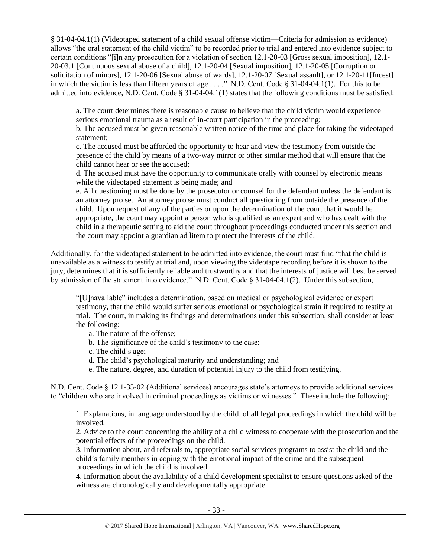§ 31-04-04.1(1) (Videotaped statement of a child sexual offense victim—Criteria for admission as evidence) allows "the oral statement of the child victim" to be recorded prior to trial and entered into evidence subject to certain conditions "[i]n any prosecution for a violation of section 12.1-20-03 [Gross sexual imposition], 12.1- 20-03.1 [Continuous sexual abuse of a child], 12.1-20-04 [Sexual imposition], 12.1-20-05 [Corruption or solicitation of minors], 12.1-20-06 [Sexual abuse of wards], 12.1-20-07 [Sexual assault], or 12.1-20-11[Incest] in which the victim is less than fifteen years of age . . . ." N.D. Cent. Code § 31-04-04.1(1). For this to be admitted into evidence, N.D. Cent. Code § 31-04-04.1(1) states that the following conditions must be satisfied:

a. The court determines there is reasonable cause to believe that the child victim would experience serious emotional trauma as a result of in-court participation in the proceeding;

b. The accused must be given reasonable written notice of the time and place for taking the videotaped statement;

c. The accused must be afforded the opportunity to hear and view the testimony from outside the presence of the child by means of a two-way mirror or other similar method that will ensure that the child cannot hear or see the accused;

d. The accused must have the opportunity to communicate orally with counsel by electronic means while the videotaped statement is being made; and

e. All questioning must be done by the prosecutor or counsel for the defendant unless the defendant is an attorney pro se. An attorney pro se must conduct all questioning from outside the presence of the child. Upon request of any of the parties or upon the determination of the court that it would be appropriate, the court may appoint a person who is qualified as an expert and who has dealt with the child in a therapeutic setting to aid the court throughout proceedings conducted under this section and the court may appoint a guardian ad litem to protect the interests of the child.

Additionally, for the videotaped statement to be admitted into evidence, the court must find "that the child is unavailable as a witness to testify at trial and, upon viewing the videotape recording before it is shown to the jury, determines that it is sufficiently reliable and trustworthy and that the interests of justice will best be served by admission of the statement into evidence." N.D. Cent. Code § 31-04-04.1(2). Under this subsection,

"[U]navailable" includes a determination, based on medical or psychological evidence or expert testimony, that the child would suffer serious emotional or psychological strain if required to testify at trial. The court, in making its findings and determinations under this subsection, shall consider at least the following:

a. The nature of the offense;

- b. The significance of the child's testimony to the case;
- c. The child's age;
- d. The child's psychological maturity and understanding; and
- e. The nature, degree, and duration of potential injury to the child from testifying.

N.D. Cent. Code § 12.1-35-02 (Additional services) encourages state's attorneys to provide additional services to "children who are involved in criminal proceedings as victims or witnesses." These include the following:

1. Explanations, in language understood by the child, of all legal proceedings in which the child will be involved.

2. Advice to the court concerning the ability of a child witness to cooperate with the prosecution and the potential effects of the proceedings on the child.

3. Information about, and referrals to, appropriate social services programs to assist the child and the child's family members in coping with the emotional impact of the crime and the subsequent proceedings in which the child is involved.

4. Information about the availability of a child development specialist to ensure questions asked of the witness are chronologically and developmentally appropriate.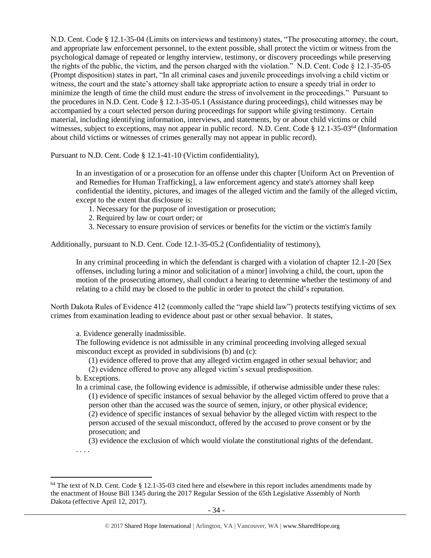N.D. Cent. Code § 12.1-35-04 (Limits on interviews and testimony) states, "The prosecuting attorney, the court, and appropriate law enforcement personnel, to the extent possible, shall protect the victim or witness from the psychological damage of repeated or lengthy interview, testimony, or discovery proceedings while preserving the rights of the public, the victim, and the person charged with the violation." N.D. Cent. Code § 12.1-35-05 (Prompt disposition) states in part, "In all criminal cases and juvenile proceedings involving a child victim or witness, the court and the state's attorney shall take appropriate action to ensure a speedy trial in order to minimize the length of time the child must endure the stress of involvement in the proceedings." Pursuant to the procedures in N.D. Cent. Code § 12.1-35-05.1 (Assistance during proceedings), child witnesses may be accompanied by a court selected person during proceedings for support while giving testimony. Certain material, including identifying information, interviews, and statements, by or about child victims or child witnesses, subject to exceptions, may not appear in public record. N.D. Cent. Code § 12.1-35-03<sup>64</sup> (Information about child victims or witnesses of crimes generally may not appear in public record).

Pursuant to N.D. Cent. Code § 12.1-41-10 (Victim confidentiality),

In an investigation of or a prosecution for an offense under this chapter [Uniform Act on Prevention of and Remedies for Human Trafficking], a law enforcement agency and state's attorney shall keep confidential the identity, pictures, and images of the alleged victim and the family of the alleged victim, except to the extent that disclosure is:

- 1. Necessary for the purpose of investigation or prosecution;
- 2. Required by law or court order; or
- 3. Necessary to ensure provision of services or benefits for the victim or the victim's family

Additionally, pursuant to N.D. Cent. Code 12.1-35-05.2 (Confidentiality of testimony),

In any criminal proceeding in which the defendant is charged with a violation of chapter 12.1-20 [Sex offenses, including luring a minor and solicitation of a minor] involving a child, the court, upon the motion of the prosecuting attorney, shall conduct a hearing to determine whether the testimony of and relating to a child may be closed to the public in order to protect the child's reputation.

North Dakota Rules of Evidence 412 (commonly called the "rape shield law") protects testifying victims of sex crimes from examination leading to evidence about past or other sexual behavior. It states,

a. Evidence generally inadmissible.

The following evidence is not admissible in any criminal proceeding involving alleged sexual misconduct except as provided in subdivisions (b) and (c):

(1) evidence offered to prove that any alleged victim engaged in other sexual behavior; and

(2) evidence offered to prove any alleged victim's sexual predisposition.

b. Exceptions.

In a criminal case, the following evidence is admissible, if otherwise admissible under these rules: (1) evidence of specific instances of sexual behavior by the alleged victim offered to prove that a person other than the accused was the source of semen, injury, or other physical evidence; (2) evidence of specific instances of sexual behavior by the alleged victim with respect to the person accused of the sexual misconduct, offered by the accused to prove consent or by the prosecution; and

(3) evidence the exclusion of which would violate the constitutional rights of the defendant.

. . . .

l

<sup>&</sup>lt;sup>64</sup> The text of N.D. Cent. Code § 12.1-35-03 cited here and elsewhere in this report includes amendments made by the enactment of House Bill 1345 during the 2017 Regular Session of the 65th Legislative Assembly of North Dakota (effective April 12, 2017).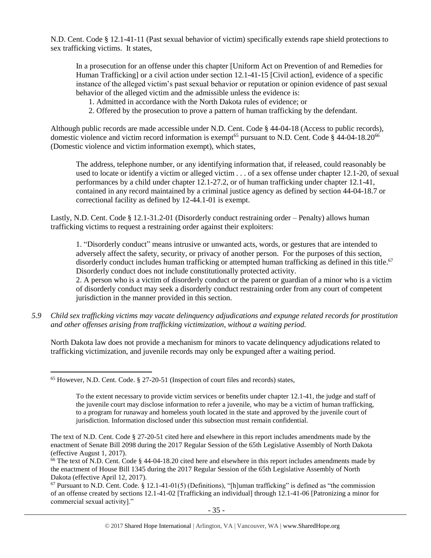N.D. Cent. Code § 12.1-41-11 (Past sexual behavior of victim) specifically extends rape shield protections to sex trafficking victims. It states,

In a prosecution for an offense under this chapter [Uniform Act on Prevention of and Remedies for Human Trafficking] or a civil action under section 12.1-41-15 [Civil action], evidence of a specific instance of the alleged victim's past sexual behavior or reputation or opinion evidence of past sexual behavior of the alleged victim and the admissible unless the evidence is:

- 1. Admitted in accordance with the North Dakota rules of evidence; or
- 2. Offered by the prosecution to prove a pattern of human trafficking by the defendant.

Although public records are made accessible under N.D. Cent. Code § 44-04-18 (Access to public records), domestic violence and victim record information is exempt<sup>65</sup> pursuant to N.D. Cent. Code  $\S$  44-04-18.20<sup>66</sup> (Domestic violence and victim information exempt), which states,

The address, telephone number, or any identifying information that, if released, could reasonably be used to locate or identify a victim or alleged victim . . . of a sex offense under chapter 12.1-20, of sexual performances by a child under chapter 12.1-27.2, or of human trafficking under chapter 12.1-41, contained in any record maintained by a criminal justice agency as defined by section 44-04-18.7 or correctional facility as defined by 12-44.1-01 is exempt.

Lastly, N.D. Cent. Code § 12.1-31.2-01 (Disorderly conduct restraining order – Penalty) allows human trafficking victims to request a restraining order against their exploiters:

1. "Disorderly conduct" means intrusive or unwanted acts, words, or gestures that are intended to adversely affect the safety, security, or privacy of another person. For the purposes of this section, disorderly conduct includes human trafficking or attempted human trafficking as defined in this title.<sup>67</sup> Disorderly conduct does not include constitutionally protected activity.

2. A person who is a victim of disorderly conduct or the parent or guardian of a minor who is a victim of disorderly conduct may seek a disorderly conduct restraining order from any court of competent jurisdiction in the manner provided in this section.

*5.9 Child sex trafficking victims may vacate delinquency adjudications and expunge related records for prostitution and other offenses arising from trafficking victimization, without a waiting period.*

North Dakota law does not provide a mechanism for minors to vacate delinquency adjudications related to trafficking victimization, and juvenile records may only be expunged after a waiting period.

 $\overline{\phantom{a}}$ 

 $67$  Pursuant to N.D. Cent. Code. § 12.1-41-01(5) (Definitions), "[h]uman trafficking" is defined as "the commission of an offense created by sections 12.1-41-02 [Trafficking an individual] through 12.1-41-06 [Patronizing a minor for commercial sexual activity]."

<sup>65</sup> However, N.D. Cent. Code. § 27-20-51 (Inspection of court files and records) states,

To the extent necessary to provide victim services or benefits under chapter 12.1-41, the judge and staff of the juvenile court may disclose information to refer a juvenile, who may be a victim of human trafficking, to a program for runaway and homeless youth located in the state and approved by the juvenile court of jurisdiction. Information disclosed under this subsection must remain confidential.

The text of N.D. Cent. Code § 27-20-51 cited here and elsewhere in this report includes amendments made by the enactment of Senate Bill 2098 during the 2017 Regular Session of the 65th Legislative Assembly of North Dakota (effective August 1, 2017).

<sup>&</sup>lt;sup>66</sup> The text of N.D. Cent. Code § 44-04-18.20 cited here and elsewhere in this report includes amendments made by the enactment of House Bill 1345 during the 2017 Regular Session of the 65th Legislative Assembly of North Dakota (effective April 12, 2017).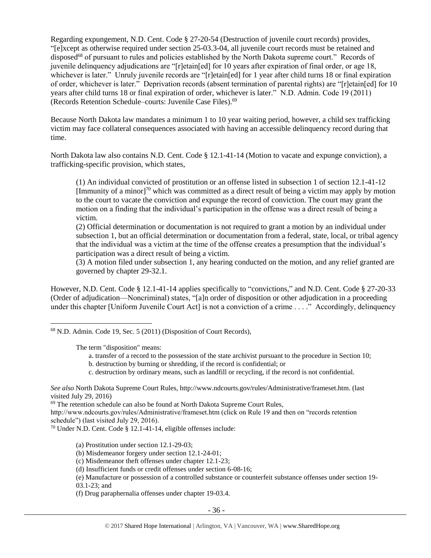Regarding expungement, N.D. Cent. Code § 27-20-54 (Destruction of juvenile court records) provides, "[e]xcept as otherwise required under section 25-03.3-04, all juvenile court records must be retained and disposed<sup>68</sup> of pursuant to rules and policies established by the North Dakota supreme court." Records of juvenile delinquency adjudications are "[r]etain[ed] for 10 years after expiration of final order, or age 18, whichever is later." Unruly juvenile records are "[r]etain[ed] for 1 year after child turns 18 or final expiration of order, whichever is later." Deprivation records (absent termination of parental rights) are "[r]etain[ed] for 10 years after child turns 18 or final expiration of order, whichever is later." N.D. Admin. Code 19 (2011) (Records Retention Schedule–courts: Juvenile Case Files).<sup>69</sup>

Because North Dakota law mandates a minimum 1 to 10 year waiting period, however, a child sex trafficking victim may face collateral consequences associated with having an accessible delinquency record during that time.

North Dakota law also contains N.D. Cent. Code § 12.1-41-14 (Motion to vacate and expunge conviction), a trafficking-specific provision, which states,

(1) An individual convicted of prostitution or an offense listed in subsection 1 of section 12.1-41-12 [Immunity of a minor]<sup>70</sup> which was committed as a direct result of being a victim may apply by motion to the court to vacate the conviction and expunge the record of conviction. The court may grant the motion on a finding that the individual's participation in the offense was a direct result of being a victim.

(2) Official determination or documentation is not required to grant a motion by an individual under subsection 1, but an official determination or documentation from a federal, state, local, or tribal agency that the individual was a victim at the time of the offense creates a presumption that the individual's participation was a direct result of being a victim.

(3) A motion filed under subsection 1, any hearing conducted on the motion, and any relief granted are governed by chapter 29-32.1.

However, N.D. Cent. Code § 12.1-41-14 applies specifically to "convictions," and N.D. Cent. Code § 27-20-33 (Order of adjudication—Noncriminal) states, "[a]n order of disposition or other adjudication in a proceeding under this chapter [Uniform Juvenile Court Act] is not a conviction of a crime . . . ." Accordingly, delinquency

<sup>68</sup> N.D. Admin. Code 19, Sec. 5 (2011) (Disposition of Court Records),

The term "disposition" means:

 $\overline{\phantom{a}}$ 

- a. transfer of a record to the possession of the state archivist pursuant to the procedure in Section 10;
- b. destruction by burning or shredding, if the record is confidential; or
- c. destruction by ordinary means, such as landfill or recycling, if the record is not confidential.

(a) Prostitution under section 12.1-29-03;

(b) Misdemeanor forgery under section 12.1-24-01;

(c) Misdemeanor theft offenses under chapter 12.1-23;

(e) Manufacture or possession of a controlled substance or counterfeit substance offenses under section 19- 03.1-23; and

(f) Drug paraphernalia offenses under chapter 19-03.4.

*See also* North Dakota Supreme Court Rules, http://www.ndcourts.gov/rules/Administrative/frameset.htm. (last visited July 29, 2016)

<sup>&</sup>lt;sup>69</sup> The retention schedule can also be found at North Dakota Supreme Court Rules,

http://www.ndcourts.gov/rules/Administrative/frameset.htm (click on Rule 19 and then on "records retention schedule") (last visited July 29, 2016).

<sup>70</sup> Under N.D. Cent. Code § 12.1-41-14, eligible offenses include:

<sup>(</sup>d) Insufficient funds or credit offenses under section 6-08-16;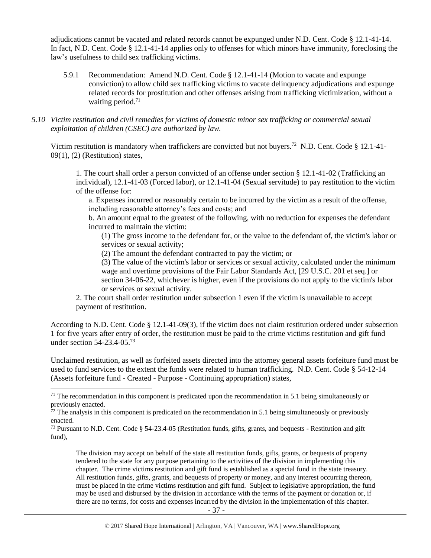adjudications cannot be vacated and related records cannot be expunged under N.D. Cent. Code § 12.1-41-14. In fact, N.D. Cent. Code § 12.1-41-14 applies only to offenses for which minors have immunity, foreclosing the law's usefulness to child sex trafficking victims.

- 5.9.1 Recommendation: Amend N.D. Cent. Code § 12.1-41-14 (Motion to vacate and expunge conviction) to allow child sex trafficking victims to vacate delinquency adjudications and expunge related records for prostitution and other offenses arising from trafficking victimization, without a waiting period. $71$
- *5.10 Victim restitution and civil remedies for victims of domestic minor sex trafficking or commercial sexual exploitation of children (CSEC) are authorized by law.*

Victim restitution is mandatory when traffickers are convicted but not buyers.<sup>72</sup> N.D. Cent. Code § 12.1-41-09(1), (2) (Restitution) states,

1. The court shall order a person convicted of an offense under section § 12.1-41-02 (Trafficking an individual), 12.1-41-03 (Forced labor), or 12.1-41-04 (Sexual servitude) to pay restitution to the victim of the offense for:

a. Expenses incurred or reasonably certain to be incurred by the victim as a result of the offense, including reasonable attorney's fees and costs; and

b. An amount equal to the greatest of the following, with no reduction for expenses the defendant incurred to maintain the victim:

(1) The gross income to the defendant for, or the value to the defendant of, the victim's labor or services or sexual activity;

(2) The amount the defendant contracted to pay the victim; or

(3) The value of the victim's labor or services or sexual activity, calculated under the minimum wage and overtime provisions of the Fair Labor Standards Act, [29 U.S.C. 201 et seq.] or section 34-06-22, whichever is higher, even if the provisions do not apply to the victim's labor or services or sexual activity.

2. The court shall order restitution under subsection 1 even if the victim is unavailable to accept payment of restitution.

According to N.D. Cent. Code § 12.1-41-09(3), if the victim does not claim restitution ordered under subsection 1 for five years after entry of order, the restitution must be paid to the crime victims restitution and gift fund under section 54-23.4-05. 73

Unclaimed restitution, as well as forfeited assets directed into the attorney general assets forfeiture fund must be used to fund services to the extent the funds were related to human trafficking. N.D. Cent. Code § 54-12-14 (Assets forfeiture fund - Created - Purpose - Continuing appropriation) states,

 $\overline{a}$ 

The division may accept on behalf of the state all restitution funds, gifts, grants, or bequests of property tendered to the state for any purpose pertaining to the activities of the division in implementing this chapter. The crime victims restitution and gift fund is established as a special fund in the state treasury. All restitution funds, gifts, grants, and bequests of property or money, and any interest occurring thereon, must be placed in the crime victims restitution and gift fund. Subject to legislative appropriation, the fund may be used and disbursed by the division in accordance with the terms of the payment or donation or, if there are no terms, for costs and expenses incurred by the division in the implementation of this chapter.

<sup>&</sup>lt;sup>71</sup> The recommendation in this component is predicated upon the recommendation in 5.1 being simultaneously or previously enacted.

 $72$  The analysis in this component is predicated on the recommendation in 5.1 being simultaneously or previously enacted.

<sup>73</sup> Pursuant to N.D. Cent. Code § 54-23.4-05 (Restitution funds, gifts, grants, and bequests - Restitution and gift fund),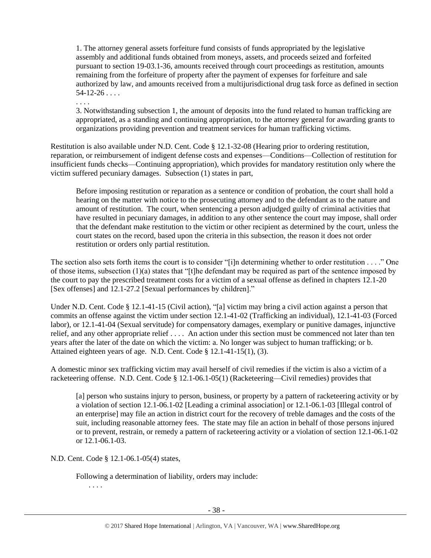1. The attorney general assets forfeiture fund consists of funds appropriated by the legislative assembly and additional funds obtained from moneys, assets, and proceeds seized and forfeited pursuant to section 19-03.1-36, amounts received through court proceedings as restitution, amounts remaining from the forfeiture of property after the payment of expenses for forfeiture and sale authorized by law, and amounts received from a multijurisdictional drug task force as defined in section  $54-12-26...$ 

. . . . 3. Notwithstanding subsection 1, the amount of deposits into the fund related to human trafficking are appropriated, as a standing and continuing appropriation, to the attorney general for awarding grants to organizations providing prevention and treatment services for human trafficking victims.

Restitution is also available under N.D. Cent. Code § 12.1-32-08 (Hearing prior to ordering restitution, reparation, or reimbursement of indigent defense costs and expenses—Conditions—Collection of restitution for insufficient funds checks—Continuing appropriation), which provides for mandatory restitution only where the victim suffered pecuniary damages. Subsection (1) states in part,

Before imposing restitution or reparation as a sentence or condition of probation, the court shall hold a hearing on the matter with notice to the prosecuting attorney and to the defendant as to the nature and amount of restitution. The court, when sentencing a person adjudged guilty of criminal activities that have resulted in pecuniary damages, in addition to any other sentence the court may impose, shall order that the defendant make restitution to the victim or other recipient as determined by the court, unless the court states on the record, based upon the criteria in this subsection, the reason it does not order restitution or orders only partial restitution.

The section also sets forth items the court is to consider "[i]n determining whether to order restitution . . . ." One of those items, subsection (1)(a) states that "[t]he defendant may be required as part of the sentence imposed by the court to pay the prescribed treatment costs for a victim of a sexual offense as defined in chapters 12.1-20 [Sex offenses] and 12.1-27.2 [Sexual performances by children]."

Under N.D. Cent. Code § 12.1-41-15 (Civil action), "[a] victim may bring a civil action against a person that commits an offense against the victim under section 12.1-41-02 (Trafficking an individual), 12.1-41-03 (Forced labor), or 12.1-41-04 (Sexual servitude) for compensatory damages, exemplary or punitive damages, injunctive relief, and any other appropriate relief . . . . An action under this section must be commenced not later than ten years after the later of the date on which the victim: a. No longer was subject to human trafficking; or b. Attained eighteen years of age. N.D. Cent. Code § 12.1-41-15(1), (3).

A domestic minor sex trafficking victim may avail herself of civil remedies if the victim is also a victim of a racketeering offense. N.D. Cent. Code § 12.1-06.1-05(1) (Racketeering—Civil remedies) provides that

[a] person who sustains injury to person, business, or property by a pattern of racketeering activity or by a violation of section 12.1-06.1-02 [Leading a criminal association] or 12.1-06.1-03 [Illegal control of an enterprise] may file an action in district court for the recovery of treble damages and the costs of the suit, including reasonable attorney fees. The state may file an action in behalf of those persons injured or to prevent, restrain, or remedy a pattern of racketeering activity or a violation of section 12.1-06.1-02 or 12.1-06.1-03.

N.D. Cent. Code § 12.1-06.1-05(4) states,

Following a determination of liability, orders may include:

. . . .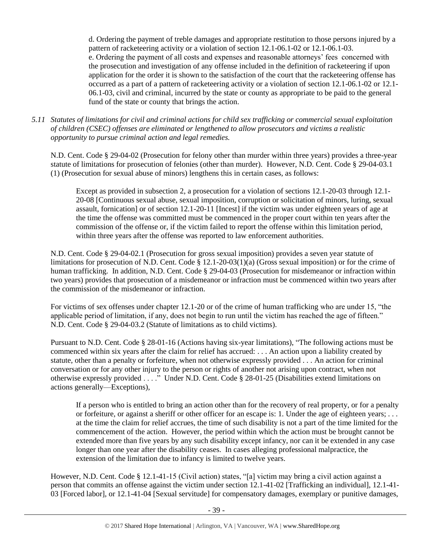d. Ordering the payment of treble damages and appropriate restitution to those persons injured by a pattern of racketeering activity or a violation of section 12.1-06.1-02 or 12.1-06.1-03. e. Ordering the payment of all costs and expenses and reasonable attorneys' fees concerned with the prosecution and investigation of any offense included in the definition of racketeering if upon application for the order it is shown to the satisfaction of the court that the racketeering offense has occurred as a part of a pattern of racketeering activity or a violation of section 12.1-06.1-02 or 12.1- 06.1-03, civil and criminal, incurred by the state or county as appropriate to be paid to the general fund of the state or county that brings the action.

*5.11 Statutes of limitations for civil and criminal actions for child sex trafficking or commercial sexual exploitation of children (CSEC) offenses are eliminated or lengthened to allow prosecutors and victims a realistic opportunity to pursue criminal action and legal remedies.*

N.D. Cent. Code § 29-04-02 (Prosecution for felony other than murder within three years) provides a three-year statute of limitations for prosecution of felonies (other than murder). However, N.D. Cent. Code § 29-04-03.1 (1) (Prosecution for sexual abuse of minors) lengthens this in certain cases, as follows:

Except as provided in subsection 2, a prosecution for a violation of sections 12.1-20-03 through 12.1- 20-08 [Continuous sexual abuse, sexual imposition, corruption or solicitation of minors, luring, sexual assault, fornication] or of section 12.1-20-11 [Incest] if the victim was under eighteen years of age at the time the offense was committed must be commenced in the proper court within ten years after the commission of the offense or, if the victim failed to report the offense within this limitation period, within three years after the offense was reported to law enforcement authorities.

N.D. Cent. Code § 29-04-02.1 (Prosecution for gross sexual imposition) provides a seven year statute of limitations for prosecution of N.D. Cent. Code § 12.1-20-03(1)(a) (Gross sexual imposition) or for the crime of human trafficking. In addition, N.D. Cent. Code § 29-04-03 (Prosecution for misdemeanor or infraction within two years) provides that prosecution of a misdemeanor or infraction must be commenced within two years after the commission of the misdemeanor or infraction.

For victims of sex offenses under chapter 12.1-20 or of the crime of human trafficking who are under 15, "the applicable period of limitation, if any, does not begin to run until the victim has reached the age of fifteen." N.D. Cent. Code § 29-04-03.2 (Statute of limitations as to child victims).

Pursuant to N.D. Cent. Code § 28-01-16 (Actions having six-year limitations), "The following actions must be commenced within six years after the claim for relief has accrued: . . . An action upon a liability created by statute, other than a penalty or forfeiture, when not otherwise expressly provided . . . An action for criminal conversation or for any other injury to the person or rights of another not arising upon contract, when not otherwise expressly provided . . . ." Under N.D. Cent. Code § 28-01-25 (Disabilities extend limitations on actions generally—Exceptions),

If a person who is entitled to bring an action other than for the recovery of real property, or for a penalty or forfeiture, or against a sheriff or other officer for an escape is: 1. Under the age of eighteen years; . . . at the time the claim for relief accrues, the time of such disability is not a part of the time limited for the commencement of the action. However, the period within which the action must be brought cannot be extended more than five years by any such disability except infancy, nor can it be extended in any case longer than one year after the disability ceases. In cases alleging professional malpractice, the extension of the limitation due to infancy is limited to twelve years.

However, N.D. Cent. Code § 12.1-41-15 (Civil action) states, "[a] victim may bring a civil action against a person that commits an offense against the victim under section 12.1-41-02 [Trafficking an individual], 12.1-41- 03 [Forced labor], or 12.1-41-04 [Sexual servitude] for compensatory damages, exemplary or punitive damages,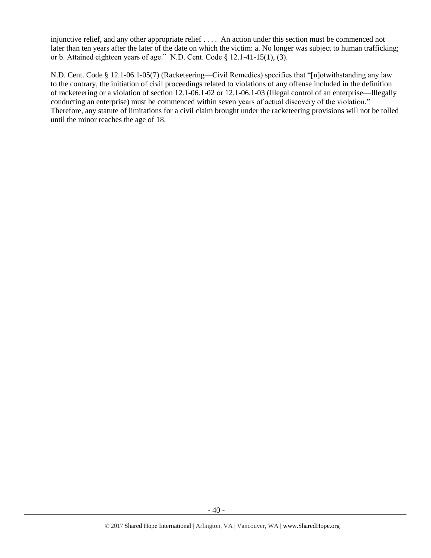injunctive relief, and any other appropriate relief . . . . An action under this section must be commenced not later than ten years after the later of the date on which the victim: a. No longer was subject to human trafficking; or b. Attained eighteen years of age." N.D. Cent. Code § 12.1-41-15(1), (3).

N.D. Cent. Code § 12.1-06.1-05(7) (Racketeering—Civil Remedies) specifies that "[n]otwithstanding any law to the contrary, the initiation of civil proceedings related to violations of any offense included in the definition of racketeering or a violation of section 12.1-06.1-02 or 12.1-06.1-03 (Illegal control of an enterprise—Illegally conducting an enterprise) must be commenced within seven years of actual discovery of the violation." Therefore, any statute of limitations for a civil claim brought under the racketeering provisions will not be tolled until the minor reaches the age of 18.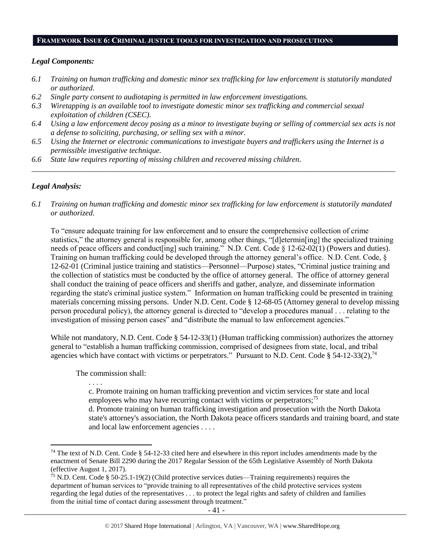#### **FRAMEWORK ISSUE 6: CRIMINAL JUSTICE TOOLS FOR INVESTIGATION AND PROSECUTIONS**

#### *Legal Components:*

- *6.1 Training on human trafficking and domestic minor sex trafficking for law enforcement is statutorily mandated or authorized.*
- *6.2 Single party consent to audiotaping is permitted in law enforcement investigations.*
- *6.3 Wiretapping is an available tool to investigate domestic minor sex trafficking and commercial sexual exploitation of children (CSEC).*
- *6.4 Using a law enforcement decoy posing as a minor to investigate buying or selling of commercial sex acts is not a defense to soliciting, purchasing, or selling sex with a minor.*

*\_\_\_\_\_\_\_\_\_\_\_\_\_\_\_\_\_\_\_\_\_\_\_\_\_\_\_\_\_\_\_\_\_\_\_\_\_\_\_\_\_\_\_\_\_\_\_\_\_\_\_\_\_\_\_\_\_\_\_\_\_\_\_\_\_\_\_\_\_\_\_\_\_\_\_\_\_\_\_\_\_\_\_\_\_\_\_\_\_\_\_\_\_\_*

- *6.5 Using the Internet or electronic communications to investigate buyers and traffickers using the Internet is a permissible investigative technique.*
- *6.6 State law requires reporting of missing children and recovered missing children.*

# *Legal Analysis:*

 $\overline{\phantom{a}}$ 

*6.1 Training on human trafficking and domestic minor sex trafficking for law enforcement is statutorily mandated or authorized.*

To "ensure adequate training for law enforcement and to ensure the comprehensive collection of crime statistics," the attorney general is responsible for, among other things, "[d]etermin[ing] the specialized training needs of peace officers and conduct [ing] such training." N.D. Cent. Code § 12-62-02(1) (Powers and duties). Training on human trafficking could be developed through the attorney general's office. N.D. Cent. Code, § 12-62-01 (Criminal justice training and statistics—Personnel—Purpose) states, "Criminal justice training and the collection of statistics must be conducted by the office of attorney general. The office of attorney general shall conduct the training of peace officers and sheriffs and gather, analyze, and disseminate information regarding the state's criminal justice system." Information on human trafficking could be presented in training materials concerning missing persons. Under N.D. Cent. Code § 12-68-05 (Attorney general to develop missing person procedural policy), the attorney general is directed to "develop a procedures manual . . . relating to the investigation of missing person cases" and "distribute the manual to law enforcement agencies."

While not mandatory, N.D. Cent. Code § 54-12-33(1) (Human trafficking commission) authorizes the attorney general to "establish a human trafficking commission, comprised of designees from state, local, and tribal agencies which have contact with victims or perpetrators." Pursuant to N.D. Cent. Code § 54-12-33(2),<sup>74</sup>

The commission shall:

. . . .

c. Promote training on human trafficking prevention and victim services for state and local employees who may have recurring contact with victims or perpetrators;<sup>75</sup>

d. Promote training on human trafficking investigation and prosecution with the North Dakota state's attorney's association, the North Dakota peace officers standards and training board, and state and local law enforcement agencies . . . .

<sup>&</sup>lt;sup>74</sup> The text of N.D. Cent. Code § 54-12-33 cited here and elsewhere in this report includes amendments made by the enactment of Senate Bill 2290 during the 2017 Regular Session of the 65th Legislative Assembly of North Dakota (effective August 1, 2017).

<sup>75</sup> N.D. Cent. Code § 50-25.1-19(2) (Child protective services duties—Training requirements) requires the department of human services to "provide training to all representatives of the child protective services system regarding the legal duties of the representatives . . . to protect the legal rights and safety of children and families from the initial time of contact during assessment through treatment."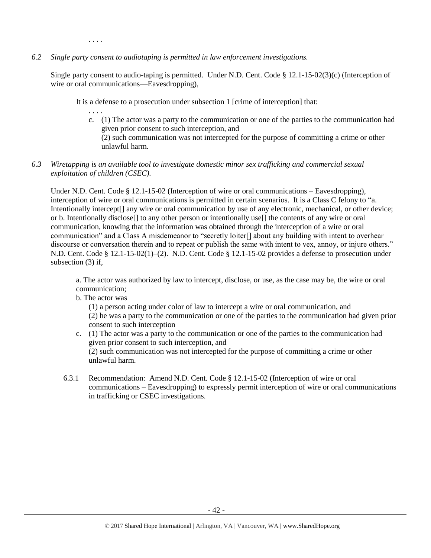. . . .

*6.2 Single party consent to audiotaping is permitted in law enforcement investigations.*

Single party consent to audio-taping is permitted. Under N.D. Cent. Code § 12.1-15-02(3)(c) (Interception of wire or oral communications—Eavesdropping),

It is a defense to a prosecution under subsection 1 [crime of interception] that:

. . . . c. (1) The actor was a party to the communication or one of the parties to the communication had given prior consent to such interception, and

(2) such communication was not intercepted for the purpose of committing a crime or other unlawful harm.

*6.3 Wiretapping is an available tool to investigate domestic minor sex trafficking and commercial sexual exploitation of children (CSEC).* 

Under N.D. Cent. Code § 12.1-15-02 (Interception of wire or oral communications – Eavesdropping), interception of wire or oral communications is permitted in certain scenarios. It is a Class C felony to "a. Intentionally intercept[] any wire or oral communication by use of any electronic, mechanical, or other device; or b. Intentionally disclose[] to any other person or intentionally use[] the contents of any wire or oral communication, knowing that the information was obtained through the interception of a wire or oral communication" and a Class A misdemeanor to "secretly loiter[] about any building with intent to overhear discourse or conversation therein and to repeat or publish the same with intent to vex, annoy, or injure others." N.D. Cent. Code § 12.1-15-02(1)–(2). N.D. Cent. Code § 12.1-15-02 provides a defense to prosecution under subsection (3) if,

a. The actor was authorized by law to intercept, disclose, or use, as the case may be, the wire or oral communication;

b. The actor was

(1) a person acting under color of law to intercept a wire or oral communication, and (2) he was a party to the communication or one of the parties to the communication had given prior consent to such interception

- c. (1) The actor was a party to the communication or one of the parties to the communication had given prior consent to such interception, and (2) such communication was not intercepted for the purpose of committing a crime or other unlawful harm.
- 6.3.1 Recommendation: Amend N.D. Cent. Code § 12.1-15-02 (Interception of wire or oral communications – Eavesdropping) to expressly permit interception of wire or oral communications in trafficking or CSEC investigations.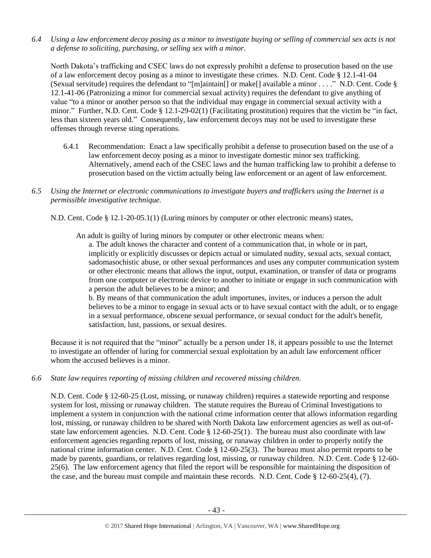*6.4 Using a law enforcement decoy posing as a minor to investigate buying or selling of commercial sex acts is not a defense to soliciting, purchasing, or selling sex with a minor.*

North Dakota's trafficking and CSEC laws do not expressly prohibit a defense to prosecution based on the use of a law enforcement decoy posing as a minor to investigate these crimes. N.D. Cent. Code § 12.1-41-04 (Sexual servitude) requires the defendant to "[m]aintain[] or make[] available a minor . . . ." N.D. Cent. Code § 12.1-41-06 (Patronizing a minor for commercial sexual activity) requires the defendant to give anything of value "to a minor or another person so that the individual may engage in commercial sexual activity with a minor." Further, N.D. Cent. Code § 12.1-29-02(1) (Facilitating prostitution) requires that the victim be "in fact, less than sixteen years old." Consequently, law enforcement decoys may not be used to investigate these offenses through reverse sting operations.

- 6.4.1 Recommendation: Enact a law specifically prohibit a defense to prosecution based on the use of a law enforcement decoy posing as a minor to investigate domestic minor sex trafficking. Alternatively, amend each of the CSEC laws and the human trafficking law to prohibit a defense to prosecution based on the victim actually being law enforcement or an agent of law enforcement.
- *6.5 Using the Internet or electronic communications to investigate buyers and traffickers using the Internet is a permissible investigative technique.*

N.D. Cent. Code § 12.1-20-05.1(1) (Luring minors by computer or other electronic means) states,

An adult is guilty of luring minors by computer or other electronic means when:

a. The adult knows the character and content of a communication that, in whole or in part, implicitly or explicitly discusses or depicts actual or simulated nudity, sexual acts, sexual contact, sadomasochistic abuse, or other sexual performances and uses any computer communication system or other electronic means that allows the input, output, examination, or transfer of data or programs from one computer or electronic device to another to initiate or engage in such communication with a person the adult believes to be a minor; and

b. By means of that communication the adult importunes, invites, or induces a person the adult believes to be a minor to engage in sexual acts or to have sexual contact with the adult, or to engage in a sexual performance, obscene sexual performance, or sexual conduct for the adult's benefit, satisfaction, lust, passions, or sexual desires.

Because it is not required that the "minor" actually be a person under 18, it appears possible to use the Internet to investigate an offender of luring for commercial sexual exploitation by an adult law enforcement officer whom the accused believes is a minor.

*6.6 State law requires reporting of missing children and recovered missing children.*

N.D. Cent. Code § 12-60-25 (Lost, missing, or runaway children) requires a statewide reporting and response system for lost, missing or runaway children. The statute requires the Bureau of Criminal Investigations to implement a system in conjunction with the national crime information center that allows information regarding lost, missing, or runaway children to be shared with North Dakota law enforcement agencies as well as out-ofstate law enforcement agencies. N.D. Cent. Code  $\S 12-60-25(1)$ . The bureau must also coordinate with law enforcement agencies regarding reports of lost, missing, or runaway children in order to properly notify the national crime information center. N.D. Cent. Code § 12-60-25(3). The bureau must also permit reports to be made by parents, guardians, or relatives regarding lost, missing, or runaway children. N.D. Cent. Code § 12-60- 25(6). The law enforcement agency that filed the report will be responsible for maintaining the disposition of the case, and the bureau must compile and maintain these records. N.D. Cent. Code § 12-60-25(4), (7).